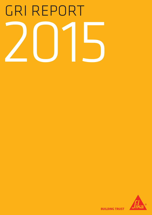# GRI Report 2015



**BUILDING TRUST**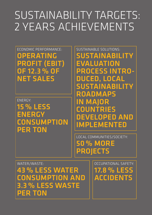# sustainability targets: 2 years achievements

ECONOMIC PERFORMANCE: Operating profit (EBIT) of 12.3 % of Net Sales

ENERGY: 15 % less energy **CONSUMPTION** per ton

sustainable solutions: Sustainability evaluation PROCESS introduced, local sustainability **ROADMAPS** in major COUNTRIES<br>DEVELOPED AND implemented

Local Communities/SocietY: 50 % more **PROJECTS** 

WATER/WASTE: 43 % less water consumption and 3.3 % less waste per ton

Occupational Safety: 17.8 % less **ACCIDENTS**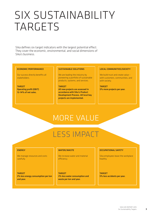# Six Sustainability TARGETS

Sika defines six target indicators with the largest potential effect. They cover the economic, environmental, and social dimensions of Sika's business.

#### Economic performance

Our success directly benefits all stakeholders.

**TARGET** Operating profit (EBIT) 12–14% of net sales.

#### Sustainable solutions

We are leading the industry by pioneering a portfolio of sustainable products, systems, and services.

**TARGET** All new projects are assessed in accordance with Sika's Product Development Process. All local key projects are implemented.

#### Local communities/society

We build trust and create value – with customers, communities, and with society.

**TARGET** 5% more projects per year.

### More Value

# Less Impact

#### **ENERGY**

We manage resources and costs carefully.

#### **TARGET** 3% less energy consumption per ton and year.

#### WATER/WASTE

We increase water and material efficiency.

**TARGET** 3% less water consumption and waste per ton and year.

#### Occupational safety

Sika employees leave the workplace healthy.

**TARGET** 5% less accidents per year.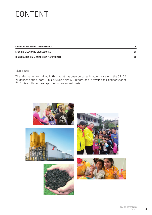# **CONTENT**

| GENERAL STANDARD DISCLOSURES       |    |
|------------------------------------|----|
| SPECIFIC STANDARD DISCLOSURES      | 18 |
| DISCLOSURES ON MANAGEMENT APPROACH | 26 |

#### March 2016

The information contained in this report has been prepared in accordance with the GRI G4 guidelines option "core". This is Sika's third GRI report, and it covers the calendar year of 2015. Sika will continue reporting on an annual basis.

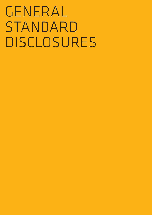# GENERAL STANDARD **DISCLOSURES**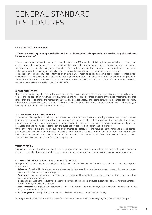### General Standard **DISCLOSURES**

#### **CA-1: STRATECY AND ANALYSIS**

#### "We are committed to pioneering sustainable solutions to address global challenges, and to achieve this safely with the lowest impact on resources".

Sika has been successful as a technology company for more than 100 years. Over this long time, sustainability has always been a core element of the company's strategy. Throughout these years, the entrepreneurial spirit, the innovative power, the cautious financial conduct, the risk balancing approach, and also the care for people and the environment have turned the company into a global business with sales of around 5.5 billion Swiss francs and a deep-rooted presence in more than 93 countries.

Today, the term "sustainability" has certainly taken on a much wider meaning, bridging economic health, social accountability and environmental responsibility. In addition, Sika regards legal and regulatory compliance, anti-corruption and human rights as the foundations of its business wherever it operates. And we are working to build trust and create value within communities and societies, because we believe this will be to our mutual benefit.

#### GLOBAL CHALLENGES

However, this is not enough, because the world and societies face challenges which businesses also need to actively address. Climate change, population growth, energy, raw materials and water scarcity – these are some of the global megatrends and challenges that are set to change the markets in the years and decades ahead. At the same time, these challenges act as powerful drivers for novel technologies and solutions. Markets will therefore demand solutions that are different from traditional ways of building and construction, infrastructure or mobility.

#### SUSTAINABILITY AS BUSINESS DRIVER

In this sense, Sika regards sustainability as a business enabler and business driver, with growing relevance in our construction and industrial target markets, especially in transportation. We strive to be an industry leader by pioneering a portfolio of sustainable products, systems and services. These products and systems are designed for energy, material, water efficiency, durability and safe use. Leadership and innovations in technology and sustainability are core elements of the Sika strategy.

On the other hand, we strive to improve our own environmental and safety footprint, reducing energy, water and material demand per product unit, and work without injuries. To achieve these ambitions, we have set mid-term targets for safety and efficiency, holding line management responsible for implementation. As a basis, Sika honors the principles of the UN Global Compact and has adopted the widely used GRI system for its reporting activities.

#### VALUE CREATION

Sustainability and long term thinking have been in the center of our identity, and continue to be a core element with a wider meaning for the years ahead. We are committed to measuring, improving, reporting and communicating sustainable value creation.

#### STRATEGY AND TARGETS 2014 – 2018 (FIVE YEAR STRATEGY)

Using the GRI G4 Guidelines, the following five criteria have been established to evaluate the sustainability aspects and the performance of Sika:

- Relevance: Sustainability is relevant as a business enabler, business driver, and brand message, relevant in construction and transportation. We monitor material aspects.
- Compliance: Legal and regulatory compliance, anti-corruption and human rights in the supply chain are the foundations of our business wherever we operate.
- Increase Value: Leading the industry by pioneering a portfolio of sustainable products, systems and services for energy, material, water efficiency, durability and safe use.
- Reduce Impacts: We improve our environmental and safety footprint, reducing energy, water and material demand per product unit, and work without injuries.
- Social Progress and Integration: We build trust and create value with communities and society.

To integrate with other stakeholders and to reinforce our commitments, we have been signing on to the UN Global Compact.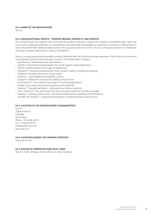#### G4-3: Name of the organization

Sika AG

#### G4-4: ORGANIZATIONAL PROFILE – PRIMARY BRANDS, PRODUCTS, AND SERVICES

The umbrella brand Sika together with some 838 Sika product trademarks sharpen the company's competitive edge. Hence the crucial role of trademark protection as a management task performed both globally, at Group level, and locally, at national level. In total, Sika held 10'469 trademark registrations in 163 countries at the end of 2015. Sika AG continuously monitors its trademarks and takes consistent legal action in cases of infringement.

Sika as a strong corporate brand provides numerous brand families, all of which enjoy high awareness. Often they do not only stand for the product itself but have even given a name to the whole product category.

- Sika MaxTack®: Brand new power grab adhesive.
- Sikaflex®: Polyurethane-based sealants for a wide range of sealing applications.
- Sikasil®: Silicone sealants for all types of applications.
- Sika Boom®: Professional polyurethane-foam-range for sealing, bonding and damping.
- SikaBond®: Bonding solutions for all your needs.
- Sikalastic®: Liquid applied waterproofing systems.
- Sikagard®: Professional solutions for cleaning and protection.
- Sika AnchorFix®: Sika solutions for all types of anchoring applications.
- Sikadur®: Our strong and long lasting epoxy-based adhesives.
- Sikafloor®: Strength and beauty combined in our Sikafloor products.
- Sika® ViscoCrete®: Sika admixtures that bring innovative options to concrete mix design.
- Sikafloor ®: Flooring systems which contribute to higher process reliability and effectiveness.
- Sarnafil® and Sikaplan®: Long lasting thermoplastic roofing membranes and solutions.

#### G4-5: LOCATION OF THE ORGANIZATION'S HEADQUARTERS

Sika AG Zugerstrasse 50 6341 Baar Switzerland Phone + 41 58 436 68 00 Fax + 41 58 436 68 50 sikagroup@ch.sika.com www.sika.com

#### G4-6: COUNTRIES WHERE THE COMPANY OPERATES

www.sika.com/gri

#### G4-7: NATURE OF OWNERSHIP AND LEGAL FORM

Sika AG, Public Company, listed at the Swiss Stock Exchange.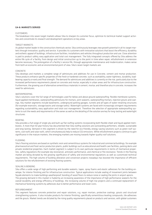#### G4-8: MARKETS SERVED

#### **CUSTOMERS**

The breakdown into seven target markets allows Sika to sharpen its customer focus, optimize its technical market support activities and concentrate its research and development operations on key areas.

#### TARGET MARKETS

As global market leader in the construction chemicals sector, Sika continuously leverages new growth potential in all its target markets through innovation, quality and service. It provides its customers with innovative solutions that boost the efficiency, durability and esthetic appeal of buildings, infrastructure facilities, installations and vehicles throughout production and use. Close attention is paid to product safety, easy application and total cost management. The fully integrated concepts offered by Sika address the entire life cycle of a facility, from design and initial construction up to the point in time when repair, refurbishment or extension become necessary. The prolongation of a facility's service life, through appropriate maintenance and modernization, makes sense from both an economic and an environmental point of view. Sika's seven target markets are:

#### CONCRETE

Sika develops and markets a complete range of admixtures and additives for use in Concrete, cement and mortar production. These products enhance specific properties of the fresh or hardened concrete, such as workability, water tightness, durability, loadbearing capacity or early and final strength. The demand for admixtures and additives is currently on the rise, particularly due to the increased performance requirements placed on concrete and mortar, especially in urban areas and for infrastructure construction. Furthermore, the growing use of alternative cementitious materials in cement, mortar, and therefore also in concrete, increases the need for admixtures.

#### WATERPROOFING

Sika's solutions cover the full range of technologies used for below and above ground waterproofing: flexible membrane systems, liquid applied membranes, waterproofing admixtures for mortars, joint sealants, waterproofing mortars, injection grouts and coatings. Key market segments include basements, underground parking garages, tunnels and all types of water-retaining structures (for example reservoirs, storage basins and storage tanks). Watertight systems are faced with increasingly stringent requirements regarding sustainability, easy application and total cost management. Therefore the selection of appropriate waterproofing systems to suit the needs and requirements of the owner as well as the detailing of the solution are key for long-lasting and watertight structures.

#### ROOFING

Sika provides a full range of single-ply and built-up flat roofing systems incorporating both flexible sheet and liquid applied membranes. A more than 50 year history has documented that Sika roofing solutions are outstanding performers, reliable, sustainable and long-lasting. Demand in this segment is driven by the need for eco-friendly, energy-saving solutions such as green roof systems, cool roofs and solar roofs, which simultaneously help to reduce CO2 emissions. While refurbishment projects continue to gain significance in the mature markets, the emerging markets are moving towards higher-quality roof solutions.

#### FLOORING

Sika's flooring solutions are based on synthetic resin and cementitious systems for industrial and commercial buildings, for example pharmaceutical and food-sector production plants, public buildings such as educational and health care facilities, parking decks and private residential properties. Each market segment is subject to its own particular requirements in terms of mechanical properties, safety regulations (for example slip resistance), antistatic performance, and chemical or fire resistance. Trends in the flooring market are being dictated by the growing significance of safety and environmental regulations as well as customized technical requirements. The high volume of building alteration and conversion projects nowadays has boosted the importance of efficient solutions for the refurbishment of existing flooring systems.

#### SEALING & BONDING

Sika offers a wide range of high-performing and durable sealants, tapes, spray foams and elastic adhesives for the building envelope, for interior finishing and for infrastructure construction. Typical applications include sealing of movement joints between façade elements to make buildings weatherproof, bonding of wood floors to reduce noise or sealing the joints in airport aprons. The growing demand in this market is fueled by an increasing awareness of the importance of high performance sealants for the overall durability and energy efficiency of buildings, the increasing volume of high-rise projects and a continued replacement of mechanical fastening systems by adhesives due to better performance and lower costs.

#### REFURBISHMENT

This segment features concrete protection and repair solutions, e.g. repair mortars, protective coatings, grouts and structural strengthening systems. It also includes products for interior finishing, specifically cementitious leveling compounds, tile adhesives and tile grouts. Market trends are dictated by the rising quality requirements placed on products and services, with global customers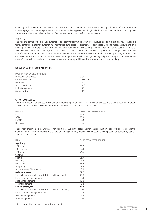expecting uniform standards worldwide. The present uptrend in demand is attributable to a rising volume of infrastructure rehabilitation projects in the transport, water management and energy sectors. The global urbanization trend and the increasing need for renovation in developed countries also fuel demand in the interior refurbishment sector.

#### INDUSTRY

The markets served by Sika include automobile and commercial vehicle assembly (structural bonding, direct glazing, acoustic systems, reinforcing systems), automotive aftermarket (auto glass replacement, car body repair), marine vessels (leisure and shipbuilding), renewable energies (solar and wind), and facade engineering (structural glazing, sealing of insulating glass units). Sika is a technology leader in elastic bonding, structural adhesives, sealants, reinforcing and acoustic applications serving the world's leading manufacturers. Customers rely on Sika solutions to enhance product performance and durability while optimizing manufacturing efficiency. As example, Sikas solutions address key megatrends in vehicle design leading to lighter, stronger, safer, quieter, and more efficient vehicles while fast processing materials and compatibility with automation optimize productivity.

#### G4-9: SCALE OF THE ORGANIZATION

Page in annual report 2015

| Number of employees  | p. 56      |  |
|----------------------|------------|--|
| Group Companies      | p. 126-129 |  |
| Net sales            | D. 3       |  |
| Total capitalization | p. 81f.    |  |
| Risk Management      | p. 19      |  |
| Group strategy       | p.10       |  |

#### G 4-10: EMPLOYEES

The total number of employees at the end of the reporting period was 17,281. Female employees in the Group account for around 22% of the total workforce (EMEA and APAC: 22%, North America: 19%, LATAM: 25%)

| <b>REGION</b> | % OF TOTAL WORKFORCE |
|---------------|----------------------|
| <b>EMEA</b>   | 52.5                 |
| <b>APAC</b>   | 23.8                 |
| <b>LATAM</b>  | 14.1                 |
| North America | 9.6                  |

The portion of self-employed workers is not significant. Due to the seasonality of the construction business slight increases in the workforce during summer months in the Northern hemisphere may happen in some years. Sika employed 490 temporary labors to adapt to peak demand.

| <b>ITEM</b>                                                    | % OF TOTAL WORKFORCE |  |
|----------------------------------------------------------------|----------------------|--|
| <b>Age Groups</b>                                              |                      |  |
| $<$ 30 years                                                   | 16.2                 |  |
| 30-50 years                                                    | 62.4                 |  |
| $> 50$ years                                                   | 21.5                 |  |
| <b>Contract</b>                                                |                      |  |
| Full time                                                      | 95.7                 |  |
| Part time                                                      | 4.4                  |  |
| Permanent                                                      | 96.2                 |  |
| Temporary                                                      | 2.8                  |  |
| Apprenticeship / Internship                                    | 0.9                  |  |
| Male employees                                                 | 77.7                 |  |
| Staff (clerks, lab, production staff incl. shift team leaders) | 61.5                 |  |
| Local Company management team                                  | 3.4                  |  |
| Middle management                                              | 12.0                 |  |
| Top management                                                 | 0.8                  |  |
| <b>Female employees</b>                                        | 22.3                 |  |
| Staff (clerks, lab, production staff incl. shift team leaders) | 19.1                 |  |
| Local Company management team                                  | 0.6                  |  |
| Middle management                                              | 2.5                  |  |
| Top management                                                 | 0.1                  |  |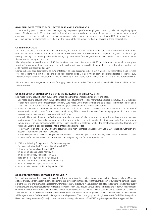#### G4-11: EMPLOYEES COVERED BY COLLECTIVE BARGAINING AGREEMENTS

In the reporting year, no data was available regarding the percentage of total employees covered by collective bargaining agreements. Sika is present in 93 countries with both small and large subsidiaries. In many of the smaller companies the number of employees is small and no collective bargaining agreements exist. However, in many big countries e.g. USA, Germany, France etc., collective bargaining agreements for workers are the rule, and the majority of workers are covered in these geographies.

#### G4-12: SUPPLY CHAIN

Sika local companies source raw materials both locally and internationally. Some materials are only available from international suppliers and have to be imported. In Sika factories these raw materials are converted into higher value goods, usually through mixing, blending, compounding and suitable form-giving. From Sika's finished goods warehouses, products are distributed within the respective country and exported.

Sika today collaborates with around 12,000 direct material suppliers, out of around 14,000 supply locations, for both local and global sourcing. The company strives to work together with local suppliers where possible, to reduce lead time, risk, and transport, as well as to increase availability and quality.

Sika's purchasing spend correspond to 46% of total net sales and is comprised of direct materials, indirect materials and services. Total global spend for direct materials and trading goods amounts to CHF 2,518 million at average exchange rates for the year 2015. The regional split for direct materials is as follows: EMEA 49%, APAC 19%, North America 18%, LATAM 8%, and Automotive 6%.

Sika employs a risk management approach for supply chain of raw materials. This approach is described in the Annual Report 2015 and under G4-14.

#### G4-13: SIGNIFICANT CHANGES IN SIZE, STRUCTURE, OWNERSHIP OR SUPPLY CHAIN

Sika made several acquisitions in 2015 and therefore gained further offices and manufacturing sites:

- Sika made several acquisitions in 2015 and therefore gained further offices and manufacturing sites: In January 2015, Sika agreed to acquire the assets of the Mozambican company Duro-Moza, which manufactures and sells specialized mortar and tile adhesives. This transaction will accelerate Sika Mozambique's development and market penetration.
- In March 2015, Sika acquired BMI Products of Northern California Inc., which is active in the manufacture and distribution of mortar products and systems for the construction industry. This takeover has enabled Sika to step up production capacity and increase market penetration in the western United States.
- In March, Sika also took over Axson Technologies, a leading producer of polyurethane and epoxy resins for design, prototyping and tooling. Axson Technologies also manufactures structural adhesives, composites and dielectrics (encapsulates) for the automotive, aerospace, shipbuilding, renewable energies, sports and leisure sectors as well as the construction industry. This takeover will enable Sika to expand its global portfolio of tooling and composites.
- Moreover, in March the company agreed to acquire Construction Technologies Australia Pty Ltd (CTA™), a leading Australian producer of tile adhesives and mortar products.
- In June, Sika purchased the remaining shares in Addiment Italia from its joint venture partner, Buzzi Unicem. Addiment is active in the manufacture and sale of concrete admixtures and grinding aids for cement production.
- In 2015, the following Sika production facilities were opened:
- 2nd plant in United Arab Emirates, Dubai, March 2015
- 1st plant on Reunion Island, March 2015
- 1st plant in Sri Lanka, Ekala, March 2015
- 1st plant in Paraguay, Asuncion, May 2015
- 4th plant in Russia, Volgograd, August 2015
- 2nd plant in Argentina, Cordoba, September 2015
- 1st plant in Nigeria, Lagos, September 2015
- 1st plant in Ivory Coast, Abidjan, September 2015

#### G4-14: PRECAUTIONARY APPROACH OR PRINCIPLE

Sika employs a risk-based management approach for its own operations, the supply chain and the products it sells and distributes. Major operations are regularly screened by experts according to loss prevention methodology, with frequent support of our insuring partners. Results are translated into improvement plans together with management. This results in an overall low loss rate due to events such as major supply disruptions, and ensures that customers will receive their goods from Sika. Through various audits and inspections of its own operations and suppliers as well as external audits by customers and certification bodies in Sika facilities, the company adheres to a preventative approach and to continuous improvements. Sika companies are certified to the international management system standards ISO 14001 (Environmental Management) and ISO 9001 (Quality Management) in all operations. The company aspires to fully implement OHSAS 18001 (Occupational Health and Safety Assessment) in major operations, and is starting to introduce ISO 50001 (Energy Management) in the bigger facilities.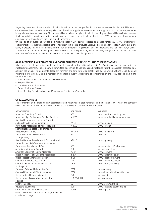Regarding the supply of raw materials, Sika has introduced a supplier qualification process for new vendors in 2014. This process encompasses three main elements: supplier code of conduct, supplier self-assessment and supplier visit. It can be complemented by supplier audits when necessary. The process will cover all new suppliers. In addition existing suppliers will be evaluated by using similar criteria like supplier evaluation, supplier code of conduct and material specifications. In 2015 the majority of procurement employees were trained using the supplier audit approach.

On the side of products and services, Sika follows a Product Development Process to manage functional, safety, environmental, and commercial product risks. Regarding the life cycle of commercial products, Sika runs a comprehensive Product Stewardship program, to prepare customer instructions, information on proper use, registration, labelling, packaging and transportation, disposal, as well as improvement of product groups. Sika actively assumes responsibility for sustainability along the entire supply chain, from supplier qualification to production and distribution to the use phase of its products.

#### G4-15: ECONOMIC, ENVIRONMENTAL AND SOCIAL CHARTERS, PRINCIPLES, AND OTHER INITIATIVES

Sika commits itself to genuinely added sustainable value along the entire value chain. Sika's principles are the foundation for strategic management. The company is committed to aligning its operations and strategies with the universally accepted principles in the areas of human rights, labor, environment and anti-corruption established by the United Nations Global Compact Initiative. Furthermore, Sika is a member of manifold industry associations and initiatives on the local, national and multinational level e.g.

- World Business Council for Sustainable Development
- Responsible Care
- United Nations Global Compact
- Carbon Disclosure Project
- Green Building Councils Network and Sustainable Construction Switzerland

#### G4-16: ASSOCIATIONS

Sika is member of manifold industry associations and initiatives on local, national and multi-national level where the company holds a position on the board or actively participates in projects or committees. Here an extract:

| <b>ASSOCIATION</b>                                  | <b>ACRONYM</b> | <b>WEBSITE</b>                  |
|-----------------------------------------------------|----------------|---------------------------------|
| American Chemistry Council                          | <b>ACC</b>     | www.americanchemistry.com       |
| American High Performance Building Coalition        | AHPBC          | www.betterbuildingstandards.com |
| Spanish National association for Concrete           |                |                                 |
| and Mortar Additive Manufacturers                   | <b>ANFAH</b>   | www.anfah.org                   |
| Portuguese Association of Paint Producers           | APFAC          | www.apfac.pt                    |
| Spanish National association of industrial          |                |                                 |
| Mortar Manufacturers                                | <b>ANFAPA</b>  | www.anfapa.com                  |
| Spanish National Association of                     | ANI            | www.ani.es                      |
| Waterproofing                                       |                |                                 |
| Spanish National Association of Concrete Repair,    | <b>ARPHO</b>   | www.arpho.org                   |
| Protection and Reinforcement Association            |                |                                 |
| Portuguese Association of Paints                    | <b>APT</b>     | www.aptintas.pt/Index.aspx      |
| Adhesive and Sealant Council                        | ASC            | www.ascouncil.org               |
| American Society of Testing Materials               | <b>ASTM</b>    | www.astm.org                    |
| <b>British Adhesives and Sealants Association</b>   | <b>BASA</b>    | www.basaonline.co.uk            |
| <b>British Precast Concrete Federation</b>          | <b>BPCF</b>    | www.britishprecast.org          |
| Cement Admixtures Association                       | CAA            | www.admixtures.org.uk           |
| Center for Environmental Innovation in              | <b>CEIR</b>    | www.roofingcenter.org           |
| Roofing (US)                                        |                |                                 |
| European Paint and Printing Ink Council             | CEPE           | www.cepe.org                    |
| Chemical Fabrics and Film Association               | CFFA           | www.chemicalfabricsandfilm.com  |
| Italian National Research Council                   | <b>CNR</b>     | www.cnr.it                      |
| Italian National Association of Industrial          | CONPAVIPER     | www.conpuviper.it               |
| Flooring                                            |                |                                 |
| Concrete Society                                    | CS             | www.concrete.org.uk             |
| Deutsche Bauchemie                                  | DBC            | www.deutsche-bauchemie.de       |
| German Sustainable Building Council                 | <b>DGNB</b>    | www.dgnb.de                     |
| (Deutsche Gesellschaft für Nachhaltiges Bauen e.V.) |                |                                 |
| (continued on page 12)                              |                |                                 |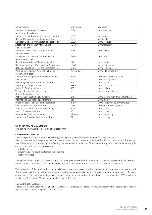| <b>ASSOCIATION</b>                             | <b>ACRONYM</b> | <b>WEBSITE</b>                   |
|------------------------------------------------|----------------|----------------------------------|
| European Federation of Concrete                | EFCA           | www.efca.info                    |
| Admixtures Association                         |                |                                  |
| European Federation for Construction Chemicals | EFCC           | www.efcc.eu                      |
| Hellenic Organization for Standardization      | <b>ELOT</b>    | www.elot.gr                      |
| European Single Ply Waterproofing Association  | <b>ESWA</b>    | www.eswa.be                      |
| Association of European Adhesive and           | <b>FEICA</b>   | www.feica.com                    |
| Sealant Industry                               |                |                                  |
| Forschungsgesellschaft für Straßen- und        | <b>FGSV</b>    | www.fgsv.de                      |
| Verkehrswesen                                  |                |                                  |
| Fachverband Schweizerischer Hersteller von     | <b>FSHBZ</b>   | www.fshbz.ch                     |
| Betonzusatzmitteln                             |                |                                  |
| Hellenic Association of Chemical Industries    | <b>HACI</b>    | www.faci.gr                      |
| UK Liquid Roofing & Waterproofing Association  | LRWA           | www.lrwa.org.uk                  |
| National Federation of Roofing Contractors, UK | <b>NFRC</b>    | www.nfrc.co.uk                   |
| Polyurea Development Association Europe        | PDA Europe     | www.pda-europe.org               |
| (Italian Committee)                            |                |                                  |
| Spanish Technology Platform for Construction   | PTEC           | www.construccion2030.org         |
| Swiss Plastics                                 |                | www.swiss-plastics.ch            |
| Swiss Engineer and Architect Association       | <b>SIA</b>     | www.sia.ch                       |
| Single Ply roofing Association                 | <b>SPRA</b>    | www.spra.co.uk                   |
| Single Ply Roofing Industry                    | SPRI           | www.spri.org                     |
| Verband der deutschen Lack- und                | VdL            | www.lackindustrie.de             |
| Druckfarbenindustrie e.V.                      |                |                                  |
| Institute Construction and Environment         | <b>IBU</b>     | www.construction-environment.com |
| International Concrete Repair Institute        | <b>ICRI</b>    | www.icri.org                     |
| British Adhesives and Sealants Association     | <b>BASA</b>    | www.basaonline.co.uk/home.aspx   |
| Concrete Society of Southern Africa            | CSSA           | www.concretesociety.co.za        |
| Athens Chamber of Commerce & Industry          | <b>ACCI</b>    | www.acci.gr                      |
| Precast Concrete Institute                     | PCI            | www.pci.org                      |
| National Ready Mix Association                 | <b>NRMCA</b>   | www.nrmca.org                    |
| Interlocking Concrete Pavement Institute       | <b>ICPI</b>    | www.icpi.org                     |

#### G4-17: FINANCIAL STATEMENTS

Link to http://www.sika.com/en/group/investors.html

#### G4-18: REPORT CONTENT

The key aspects of Sika's sustainability strategy and reporting were defined through the following activities:

Sika has reviewed in the reporting year the materiality analysis which was accomplished for the first time in 2013. The analysis focused on potential material topics, reflecting the sustainability impacts of Sika's operations, products and services along the entire value chain, by taking into account:

- GRI G4 aspects
- relevant topics for peers, customers and suppliers
- expert knowledge

The relative importance of the topics was rated according the two criteria "influence on stakeholder assessments and decisions" (importance to stakeholders) and "significance of economic, environmental and social impacts" (importance to Sika).

The 2015 review of the prioritization from a stakeholder perspective was determined through an online survey, whereas the prioritization with regard to "significance of economic, environmental and social impacts" was reviewed through the results of a series of workshops. The identified material aspects and findings were set against the results of the first analysis in 2013 which were validated by Sika's Group Management and the Board of Directors.

#### SUSTAINABILITY CONTEXT

The context in which Sika operates at global as well as local level was taken into account when determining the long-list of relevant topics as well as during the prioritization activities.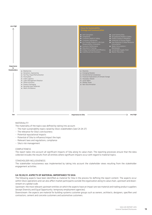

#### MATERIALITY

The materiality of the topics was defined by taking into account:

- The main sustainability topics raised by Sika's stakeholders (see G4-24-27)
- The relevance for Sika's core business
- Potential reputational impacts
- Potential of Sika to influence/impact the topic
- Relevant laws and regulations, compliance
- Sika's risk management

#### COMPLETENESS

The report takes into account all significant impacts of Sika along its value chain. The reporting processes ensure that the data collected includes the results from all entities where significant impacts occur with regard to material topics.

#### STAKEHOLDER INCLUSIVENESS

The stakeholder inclusiveness was implemented by taking into account the stakeholder views resulting from the stakeholder engagement activities.

#### G4-19/20/21: ASPECTS OF MATERIAL IMPORTANCE TO SIKA

The following aspects have been identified as material for Sika in the process for defining the report content. The aspects occur within Sika's operations and can also affect market participants outside the organization along its value chain, upstream and downstream on a global scale.

Upstream: the most relevant upstream entities on which the aspects have an impact are raw material and trading product suppliers (except Diversity and Equal Opportunity: temporary employment agencies).

Downstream: the aspects are material for building-systems customer groups such as owners, architects, designers, specifiers and contractors, cement and concrete customers and automotive customers.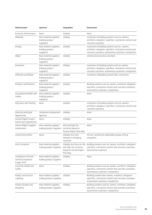| <b>Material aspect</b>                                     | Upstream                                                  | Geographies                                                       | Downstream                                                                                                                                                             |
|------------------------------------------------------------|-----------------------------------------------------------|-------------------------------------------------------------------|------------------------------------------------------------------------------------------------------------------------------------------------------------------------|
| Economic Performance                                       | None                                                      | Globally                                                          | None                                                                                                                                                                   |
| Materials                                                  | Raw material suppliers,<br>(trading product<br>suppliers) | Globally                                                          | Customers of building systems such as: owners,<br>architects, designers, specifiers, contractors cement and<br>concrete customers                                      |
| Energy                                                     | Raw material suppliers,<br>(trading product<br>suppliers) | Globally                                                          | Customers of building systems such as : owners,<br>architects, designers, specifiers, contractors cement and<br>concrete customers; automotive customers; competitors  |
| Water                                                      | Raw material suppliers,<br>(trading product<br>suppliers) | Globally                                                          | Cement and concrete customers                                                                                                                                          |
| Emissions                                                  | Raw material suppliers,<br>(trading product<br>suppliers) | Globally                                                          | Customers of building systems such as: owners,<br>architects, designers, specifiers, contractors cement and<br>concrete customers; automotive customers; competitors   |
| <b>Effluents and Waste</b>                                 | Raw material suppliers,<br>(trading product<br>suppliers) | Globally                                                          | Customers of Building systems like: contractors                                                                                                                        |
| <b>Products and Services</b>                               | Raw material suppliers,<br>(trading product<br>suppliers) | Globally                                                          | Building systems such as: owners, architects, designers,<br>specifiers, contractors cement and concrete customers;<br>automotive customers; competitors                |
| Occupational Health and<br>Safety                          | Raw material suppliers,<br>(trading product<br>suppliers) | Globally                                                          | None                                                                                                                                                                   |
| <b>Education and Training</b>                              | None                                                      | Globally                                                          | Customers of building systems such as: owners,<br>architects, designers, specifiers, contractors cement and<br>concrete customers                                      |
| Diversity and Equal<br>Opportunity                         | Temporary employment<br>agencies                          | Globally                                                          | None                                                                                                                                                                   |
| Human Rights Assess-<br>ments (own operations)             | None                                                      | Globally                                                          | None                                                                                                                                                                   |
| Human Rights Supplier<br>Assessment                        | Raw material suppliers,<br>trading product suppliers      | Risk and high risk<br>countries based on<br>Human Rights Risk Map | None                                                                                                                                                                   |
| Local Communities                                          | None                                                      | Globally, but more<br>relevant in emerging<br>countries           | All non-commercial stakeholder groups of local<br>companies                                                                                                            |
| Anti-Corruption                                            | Raw material suppliers,<br>trading product suppliers      | and high risk countries<br>based on Human Rights<br>Risk Map      | Globally, but focus on risk Building systems such as: owners, architects, designers,<br>specifiers, contractors cement and concrete customers;<br>automotive customers |
| Compliance / Environ-<br>mental Compliance<br>(Legal, EHS) | Raw material suppliers,<br>trading product suppliers      | Globally                                                          | None                                                                                                                                                                   |
| Customer Health and<br>Safety                              | None                                                      | Globally                                                          | Building systems such as: owners, architects, designers,<br>specifiers, contractors cement and concrete customers;<br>automotive customers; Competitors                |
| Product and Service<br>Labelling                           | Raw material suppliers,<br>trading product suppliers      | Globally                                                          | Building systems like: owners, architects, designers,<br>specifiers, contractors cement and concrete customers;<br>automotive customers; competitors                   |
| Product Quality and<br>Reliability                         | Raw material suppliers,<br>trading product suppliers      | Globally                                                          | Building systems such as: owners, architects, designers,<br>specifiers, contractors cement and concrete customers;<br>automotive customers; competitors                |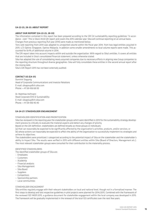#### G4-22-23, 28-33: About report

#### ABOUT OUR REPORT (G4-22-23, 28-33)

The information contained in this report has been prepared according to the GRI G4 sustainability reporting guidelines "in accordance - core". This is Sika's third GRI report and covers the 2015 calendar year. Sika will continue reporting on an annual basis. Changes from previous reporting (full year 2014) were made as mentioned below:

Tons sold reporting from 2014 was adapted to unreported volume within the fiscal year 2014, from two legal entities acquired in 2015: LCS Optiroc Singapore, Optiroc Malaysia. In addition some smaller amendments to local volume reports were made. This accounted for 8.4% of additional volume in 2014.

The GRI report takes into account impacts within and outside the organization. With regard to Sika's entities, it covers all entities that are included in Sika's consolidated financial statement, unless otherwise stated.

Sika has adapted the rule of consolidating newly acquired companies due to necessary efforts in aligning new Group companies to the reporting structure throughout diverse geographies. Sika will fully consolidate these entities in the second annual report after the closing date.

Sika's GRI Report 2015 has not been externally audited.

#### CONTACT US (G4-31)

Dominik Slappnig Head of Corporate Communications and Investor Relations E-mail: sikagroup@ch.sika.com Phone: + 41 58 436 68 00

Dr. Matthias Hofmann Head Corporate EHS & Sustainability E-mail: sikagroup@ch.sika.com Phone: + 41 58 436 40 40

#### G4-24-27: STAKEHOLDER ENGANGEMENT

#### STAKEHOLDER IDENTIFICATION AND PRIORITIZATION

Sika has reviewed in the reporting year the stakeholder groups which were identified in 2013 for the sustainability strategy development process to critically re-evaluate the material aspects and detect any changes of priority.

Based on the GRI definition, stakeholders are defined broadly as those groups or individuals:

(a) that can reasonably be expected to be significantly affected by the organization's activities, products, and/or services; or

(b) whose actions can reasonably be expected to affect the ability of the organization to successfully implement its strategies and achieve its objectives.

The stakeholders were prioritized / categorized according to the potential impact of Sika on the stakeholder and the stakeholder's ability to impact Sika. The results were verified in 2015 with different entities within Sika (Board of Directors, Management etc.). The most relevant stakeholder groups were consulted for their contribution to the materiality process.

#### IDENTIFIED STAKEHOLDERS

The identified stakeholder groups of Sika are:

- Employees
- Customers
- Academia
- Financial analysts
- Sika Management
- Sika Board
- Suppliers
- Competitors
- Sponsorship partners
- Local communities

#### STAKEHOLDER ENGAGEMENT

Sika entities regularly engage with their relevant stakeholders on local and national level, though not in a formalized manner. The first steps to develop and test respective guidelines in pilot projects were planned for 2014/2015. Combined with the framework of the reviewed ISO 14001:2015, a guidance document for stakeholder engagement within the local company was developed in 2015. The framework will be gradually implemented in the renewal of the local ISO certificates over the next few years.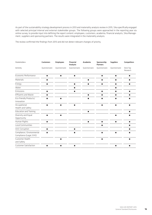As part of the sustainability strategy development process in 2013 and materiality analysis review in 2015, Sika specifically engaged with selected principal internal and external stakeholder groups. The following groups were approached in the reporting year via online survey, to provide input into defining the report content: employees, customers, academia, financial analysts, Sika Management, suppliers and sponsoring partners. The results were integrated in the materiality analysis.

The review confirmed the findings from 2013 and did not detect relevant changes of priority.

| <b>Stakeholders</b>                                   | <b>Customers</b> | <b>Employees</b> | <b>Financial</b><br>Analysts | Academia       | Sponsorship<br><b>Partners</b> | <b>Suppliers</b> | Competitors          |
|-------------------------------------------------------|------------------|------------------|------------------------------|----------------|--------------------------------|------------------|----------------------|
| Activity                                              | Questionnaire    | Questionnaire    | Questionnaire                | Questionnaire  | Questionnaire                  | Questionnaire    | Desk Top<br>Research |
| Economic Performance                                  | $\blacksquare$   | ٠                | п                            |                | ٠                              | п                | ٠                    |
| Materials                                             | п                |                  |                              | п              | ٠                              | п                | п                    |
| Energy                                                | п                |                  | $\blacksquare$               | $\blacksquare$ | п                              | $\blacksquare$   | п                    |
| Water                                                 |                  |                  | п                            |                |                                | п                |                      |
| Emissions                                             | п                |                  | п                            |                | п                              | п                | П                    |
| <b>Effluents and Waste</b>                            | п                |                  |                              | П              | п                              | п                | П                    |
| Eco-friendly Products/<br>Innovation                  | п                | п                |                              | п              | п                              | п                | п                    |
| Occupational<br>Health and Safety                     | ٠                | п                | п                            |                | п                              | ٠                | п                    |
| <b>Education and Training</b>                         |                  |                  |                              | $\blacksquare$ |                                |                  | п                    |
| Diversity and Equal<br>Opportunity                    | ٠                | ٠                |                              |                |                                | ٠                | ш                    |
| Human Rights                                          | п                |                  |                              | $\blacksquare$ | п                              | $\blacksquare$   | п                    |
| Local Communities                                     |                  |                  |                              |                | п                              |                  | п                    |
| Anti-Corruption                                       | п                |                  | п                            |                |                                |                  | п                    |
| Compliance / Environmental<br>Compliance (Legal, EHS) | п                |                  | ٠                            |                | п                              | $\blacksquare$   | п                    |
| Customer Health<br>and Safety                         |                  | ٠                |                              |                | п                              |                  | П                    |
| <b>Customer Satisfaction</b>                          | ٠                | п                | п                            |                |                                | п                | п                    |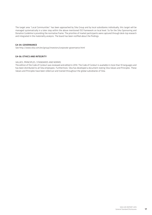The target area "Local Communities" has been approached by Sika Group and by local subsidiaries individually, this target will be managed systematically in a later step within the above mentioned ISO framework on local level. So far the Sika Sponsoring and Donation Guideline is providing the normative frame. The priorities of market participants were captured through desk-top research and integrated in the materiality analysis. The board has been notified about the findings.

#### G4-34: GOVERNANCE

See http://www.sika.com/en/group/investors/corporate-governance.html

#### G4-56: ETHICS AND INTEGRITY

#### Values, principles, standards and norms

The edition of the Code of Conduct was reviewed and edited in 2014. The Code of Conduct is available in more than 10 languages and has been distributed to all Sika employees. Furthermore, Sika has developed a document stating Sika Values and Principles. These Values and Principles have been rolled out and trained throughout the global subsidiaries of Sika.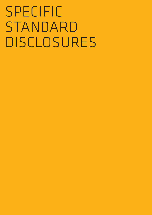# Specific STANDARD Disclosures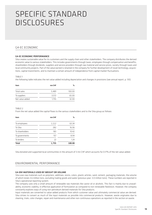## Specific Standard Disclosures

#### G4-EC Economic

#### G4-EC Economic performance

Sika creates sustainable value for its customers and the supply chain and other stakeholders. The company distributes the derived economic value to various stakeholders. This includes governments through taxes, employees through compensation and benefits, shareholders through dividends, suppliers and service providers through raw material and service prices, society through taxes and local community projects. Part of the value earned is retained in the company for further development of novel technology, acquisitions, capital investments, and to maintain a certain amount of independence from capital market fluctuations.

#### TABLE<sub>1</sub>

the following table indicates the net value added including depreciation and changes in provisions (see annual report, p. 135)

| Item            | mn CHF | %      |
|-----------------|--------|--------|
| Total sales     | 5.489  | 100.00 |
| To suppliers    | 3.572  | 65.00  |
| Net value added | 1.755  | 32.00  |

#### $T \triangle B1 F2$

From the net value added the capital flows to the various stakeholders and to the Sika group as follows

| Item            | mn CHF | $\%$   |
|-----------------|--------|--------|
| To employees    | 1,112  | 63.34  |
| To Sika         | 282    | 16.06  |
| To shareholders | 183    | 10.42  |
| To governments  | 157    | 8.94   |
| To lenders      | 22     | 1.24   |
| <b>Total</b>    | 1,755  | 100.00 |

Sika donated and supported local communities in the amount of 3 mn CHF which accounts for 0.17% of the net value added.

#### ENVIRONMENTAL PERFORMANCE

#### G4-EN1 MATERIALS USED BY WEIGHT OR VOLUME

Sika uses raw materials such as polymers, additives, resins, colors, plastic articles, sand, cement, packaging materials, the volume of which totals 3.6 million tons, excluding trading goods and water (previous year: 3.0 million tons). These numbers are reported in Sika's operational reporting system.

The company uses only a small amount of renewable raw materials like castor oil or alcohols. This fact is mainly due to unavailability, economic viability, in effective application of formulation as compared to non-renewable feedstock. However, the company constantly explores ways of using non-petroleum derived materials for Sika products.

Input materials are converted to value-added products from which customer value and ultimately commercial value are derived. Sika strives to convert as much of the input materials as possible into commercial products. However, waste originates due to cleaning, trials, color changes, repair and maintenance and other non-continuous operations as reported in the section on waste.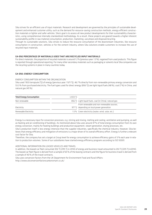Sika strives for an efficient use of input materials. Research and development are governed by the principles of sustainable development and enhanced customer utility, such as the demand for resource-saving construction methods, energy-efficient construction materials or lighter and safer vehicles. Sika's goal is to assess all new product developments for their sustainability characteristics, using comprehensive internally standardized methodology. As a result, these projects are geared towards a higher inherent sustainability profile in raw material consumption, production, marketing, use phase and disposal/recycling.

Through its sustainable solutions, Sika strives to reduce the resource consumption of the downstream industries, like resource consumption in construction, vehicles or for the cement industry, where Sika solutions enable customers to increase the use of recycled input materials.

#### G4-EN2 PERCENTAGE OF MATERIALS USED THAT ARE RECYCLED INPUT MATERIALS

For direct materials, the proportion of recycled materials is around 1.2% (previous year: 1.3%), regained from used products. This figure is reported through operational reporting. For many other secondary materials such as packaging or solvents local Sika companies use the recycling systems in place in many countries today.

#### G4-EN3: ENERGY CONSUMPTION

#### Energy consumption within the organization

Sika used 1'833 terrajoule (TJ) of energy (pervious year: 1'671 TJ), 46.7% directly from non-renewable primary energy conversion and 53.3% from purchased electricity. The fuel types used for direct energy (856 TJ) are light liquid fuels (48%), coal (7%) in China, and natural gas (45%).

| <b>Total Energy Consumption</b> | 1833 TI |                                                         |
|---------------------------------|---------|---------------------------------------------------------|
| Non-renewable                   |         | 856 TJ Light liquid fuels, coal (in China), natural gas |
|                                 |         | From renewable and non-renewable sources,               |
| Electricity                     |         | 977 TJ depending on local power generation              |
| Renewable Electricity           |         | 1.5% Green electricity (water, wind, solar, etc.)       |

Energy is a necessary input for conversion processes, e.g. stirring and mixing, melting and cooling, ventilation and pumping, as well as heating and air conditioning of buildings. As mentioned above Sika uses around 47% of total energy consumption from its own energy conversion, mainly for heating buildings and production equipment, steam generation, drying processes, etc.

Sika's production itself is less energy-intensive than the supplier industries, specifically the chemical industry. However, Sika believes that energy efficiency and mitigation of emissions is a major driver of its overall efficiency effort. Energy is further a relevant cost factor for Sika.

Therefore, the company has set a target at Group level for energy consumption to achieve efficiency gains of 3% each year in relation to production volumes. Some of our subsidiaries have started energy efficiency programs according to ISO 50001.

#### Additional information on leased vehicles and travel

In addition, the leased car fleet consumed 302 TJ (295 TJ in 2014) of energy and business travel amounted to 202 TJ (205 TJ in2014). The leased car fleet figure is derived from a sample of 65% of the leasing contracts and the figure for business travel is derived from a sample of 40% of the travel contracts.

Sika uses conversion factors from the UK Department for Environment Food and Rural Affairs: http://www.ukconversionfactorscarbonsmart.co.uk/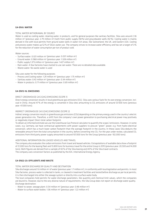#### G4-EN 8: Water

#### Total water withdrawal by source

Water is used as cooling water, cleaning water, in products, and for general purposes like sanitary facilities. Sika uses around 2.36 million m<sup>3</sup> (previous year: 2.79 million m<sup>3</sup>) both from public supply (58%) and groundwater wells (42%). Cooling water is mainly derived in line with local permits from ground water wells in water-rich areas, like Switzerland, the UK, and Eastern USA. Cooling and process water makes up 52% of Sika's water use. The company strives to increase water efficiency and has set a target of 3% for the reduction of water consumption per ton of product sold.

Water sources:

- Surface water: 0.021 million m<sup>3</sup> (previous year: 0.037 million m<sup>3</sup>)
- Ground water: 0.968 million  $m^3$  (previous year: 1.328 million  $m^3$ )
- Public supply:1.373 million  $m^3$  (previous year: 1.427 million  $m^3$ )
- Rain water: A few factories have started to use rain water. There are no detailed data available.
- Waste water: No waste water is used

#### Sika uses water for the following purposes:

- Process and Cooling water: 1.24 million  $m^3$  (previous year: 1.75 million  $m^3$ )
- $-$  Sanitary water: 0.42 million m<sup>3</sup> (previous year: 0.34 million m<sup>3</sup>)
- Water in products: 0.71 million  $m^3$  (previous year: 0.69 million  $m^3$ )

#### G4-EN15-16: EMISSIONS

#### Direct greenhouse gas (GHG) emissions (Scope 1)

Direct energy conversion results in local greenhouse gas emissions (CO<sub>2</sub>). Sika uses various fuels for its own energy conversion, incl. coal in China. Around 47% of the energy is converted in Sika sites amounting to CO<sub>2</sub> emissions of around 53'000 tons (previous year: 47,000 tons).

#### Indirect greenhouse gas (GHG) emissions (Scope 2)

Indirect energy conversion results in greenhouse gas emissions (CO2) depending on the primary energy used in the country's electric power generation mix. Therefore, a shift from the company's own power generation to purchasing electrical power may positively or negatively impact Sika's total carbon footprint.

To obtain an informed estimate we use the Greenhouse Gas Protocol calculator to quantify the scope 2 emissions. However, in some cases, e.g. Germany, we have contractual agreements with power suppliers to procure "green" power, e.g. from hydro-electrical conversion, which has a much lower carbon footprint than the average footprint in the country. In these cases Sika deducts the renewable amount from the total consumption in the country, before converting into  $CO<sub>2</sub>$ . For the year under review, calculated  $CO<sub>2</sub>$ emissions from third party power supply amounted to around 107,000 tons for the Group (previous year: 102,000 tons).

#### Additional information on leased vehicles and travel

The company also evaluates the carbon emissions from travel and leased vehicles. Extrapolations of available data show a footprint of 21,000 tons for the leasing fleet and 13,800 tons for business travel for the entire Group in 2015 (previous year: 20,500 and 14,000 tons). Both figures are derived from a sample of 65% of the Sika leasing and 40% of the Sika travel contracts. The company uses conversion factors as published by the IEA, International Energy Agency.

#### G4-EN22-23: EFFLUENTS AND WASTE

#### Total water discharge by quality and destination

Sika discharges around 1.6 million m<sup>3</sup> of water (previous year: 1.7 million m<sup>3</sup>), in conformity with local legislation and permits. In most Sika factories, process water is collected in tanks, or cleaned in treatment facilities and tested before discharge as per local permits; it is then discharged into either the sewage system or directly into a surface water body.

The local companies hold permits for water discharge parameters, like quantity and chemical limit values, which the companies are bound to. However, due to the very diverse nature of requirements, the Sika Group does not report on discharge water quality. Discharge destination:

- Water to sewer, sewage plant: 0.54 million  $m^3$  (previous year: 0.48 million  $m^3$ )
- Water to surface water bodies: 1.06 million m<sup>3</sup> (previous year: 1.22 million m<sup>3</sup>)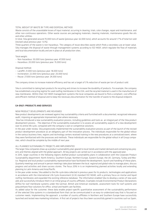#### Total weight of waste by type and disposal method

Waste consists of the unavoidable losses of input material, occurring in cleaning, trials, color changes, repair and maintenance, and other non-continuous operations. Other waste sources are packaging materials, cleaning materials, maintenance goods like oils and other utilities.

In total, Sika generated around 70,000 tons of waste (previous year: 62,000 tons), which accounts for around 1.7% of total ton sold (revised value previous year: 1.6%).

Three quarters of the waste is non-hazardous. The category of reuse describes waste which finds a secondary use at lower value. Sika manages the disposal of waste through management systems according to ISO 14001, which regulate the flow of materials and local documentation locally and are in place at all production sites.

Total weight:

- Non-hazardous: 50,000 tons (previous year: 47,000 tons)
- Hazardous: 20,000 tons (previous year: 15,000 tons)

Disposal method:

- Landfill: 21,000 tons (previous year: 18,000 tons)
- Incineration: 22,000 tons (previous year: 20,000 tons)
- Reuse: 27,000 tons (previous year: 24,000 tons)

The company strives to increase material efficiency and has set a target of 3% reduction of waste per ton of product sold.

Sika is committed to taking back products for recycling and strives to increase the durability of products. For example, the company has established a recycling regime for used roofing membranes in the USA, and the recycled material is used in the manufacture of new membranes. Within their ISO 14001 management systems the local companies are bound to find a compliant, cost-effective and efficient method of disposal and to keep the necessary documentation for the transfer of waste to the disposal endpoint.

#### G4-EN27: PRODUCTS AND SERVICES

#### New product developments are reviewed

New product developments are reviewed against key sustainability criteria and furnished with a documented, recognized relevance audit, imposing an appropriate improvement plan where necessary.

 Sika has introduced a new sustainability evaluation process, including guidelines and tools as an integral part of the Sika product development process. . The objective of the sustainability evaluation is to assess all sustainability aspects of a new development over its entire life cycle, compared with the company's own or competitive solutions.

In the year under review, Sika progressively implemented the sustainability evaluation process as part of the launch of the revised product development procedure as an obligatory part of the innovation process. The individuals responsible for the global rollout in the various business lines, regions and technology centers received training in the new procedures at a centralized event, where they were familiarized with the processes and methods. These individuals are responsible for the global rollout in all Group companies, which should be complete by the middle of next year.

#### All planned sustainability projects are implemented

The larger Sika companies draw up a product sustainability plan geared to local trends and market demand and containing key projects and themes aligned with the global approach. All key projects are carried out in accordance with the approved plan.

In 2015, larger countries in the following regions drafted product sustainability plans in collaboration with the Corporate Product Sustainability department: North America, Southern Europe, Northern Europe, Eastern Europe, the UK, Germany, Turkey and Mexico. Regional and local product sustainability representative have facilitated the development, launch and handling of these plans. Quarterly meetings and annual in person meetings take place between the local. regional and global roles to manage plans, discuss progress and activities and share success stories. The focus 2016 in is on implementing planned activities locally and extending planning to Latin America and Asia/Pacific.

In the year under review, Sika added to the life-cycle data collected in previous years for its products, technologies and applications in accordance with the international Life Cycle Assessment (LCA) standard ISO 14040, with a primary focus on mortar and liquid roofing membranes and expanded the existing reference database. The information enabled Sika to develop a series of new work aids and successfully introduce them in an initial group of country affiliates. Examples include Environmental Product Declarations (EPDs) for roof membrane systems under the German, British and American standards, assessment tools for roof systems and polyurethane floor solutions for office, school and health care facilities.

As added value for the customer, these data enable project-specific quantitative assessment of the sustainability performance of the selected Sika systems in a standardized form that can be communicated in an easy-to-understand way that is focused on customer needs. Implementing the approach, a number of country affiliates in Northern and Southern Europe have successfully launched and tested new marketing initiatives. A first set of projects has thus been successfully gained in countries such as Spain,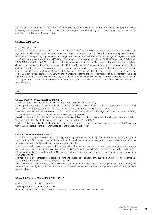Italy and Britain. In 2016, the focus will be on the continued rollout of the sustainability sales tools in additional target countries, on marketing services related to sustainable construction and energy efficiency in buildings, and on better integration of sustainability with the local affiliates' business priorities.

#### G4-EN29: COMPLIANCE

#### Fines and sanction

In 2015 Sika incurred no significant fines for non-compliance with environmental laws and regulations. Sika strives for full legal and regulatory compliance, which are the foundation of its business. Therefore, all ISO certified subsidiaries have a process that helps them understand regulatory requirements and changes. These legal entities entertain certified management systems according to ISO 9001 (Quality) and, in addition, to ISO 14001 (Environment), in some cases according to OHSAS 18000 (Health & Safety) and ISO 50001 (Energy efficiency). Most of Sika's subsidiaries work together with external advisors to stay informed about regulatory changes. The management systems according to ISO 14001 and OHSAS 18001 require companies to follow up on new legislation and implement legal requirements accordingly. Legal and internal audits screen the subsidiaries for business conduct. The General Managers are obliged to strictly adhere to applicable legislation and to supervise the subsidiary accordingly and have been required end of 2015 to verify and confirm, together with their management teams, the level of compliance of his/her company in a global reporting system (the Compliance Confirmation). This confirmation has not shown any deviation from the compliance standard. Sika implements an Internal Control System according to Swiss public company law in all its subsidiaries to ensure adherence to these standards.

#### social

#### G4-LA6: OCCUPATIONAL HEALTH AND SAFETY

In 2015 Sika had a lost time rate of 9.7 accidents/1,000 employees (previous year: 10.8).

In the reporting year the company reported 176 accidents (> 1 day of absence from work) compared to 193 in the previous year. Of these, the EMEA region accounted for 114, North America for 12, Latin America for 37, and APAC for 13.

The rate includes temporary labor (1,147) not on Sika's payroll. Sika excludes construction and project work from the accident reporting. Sika experienced 17 contractor accidents on its premises (previous year: 21).

As accident data from the subsidiary is processed anonymously, it is not possible to give a breakdown by gender at Group level. 27 legal entities, including their headquarters, are certified according to OHSAS 18001.

In addition 13 operational units (plants, warehouses and technology centers) are certified individually according to OHSAS Certification 18001. The status of the legal entities can be found in Sika's Annual Report.

#### G4-LA9: TRAINING AND EDUCATION

With more than 17,000 employees globally, Sika regards training and education as an important instrument in retaining and grooming its workforce. The company is proud of a large share of long-time associates and recognizes the need to keep these valued associates up to date regarding their relevant knowledge and abilities.

Sika therefore maintains a broad range of internal and external training programs and its own training academies, e.g. for operations, sales and marketing, and technical faculties. Sika collaborates with universities to gain access to up-to-date knowledge. In 2015 we continued our cooperation with IMD business school where we trained our talents with potential to take over Senior Management positions.

Sika has no explicit Group target with regard to training and education but strives to offer every Sika employee > 10 hours of training per year, and a fully-fledged training seminar for managers.

The total number of training hours reported by the local companies amounted to around 11.9 hours per employee on average (2014: 11.4 hours). As training data from the subsidiaries are processed anonymously, Sika does not provide a breakdown by gender at Group level yet.

#### G4-LA12: DIVERSITY AND EQUAL OPPORTUNITY

Composition of governance bodies

The composition of the Board of Directors:

Out of 9 members 1 is female (11%). Regarding the age group all members are over 50 years old.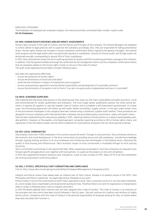#### Employee categories

The breakdown of employees per employee category, the internal promotion and leased labor number is given under G4-10: Employees.

#### G4-HR9: HUMAN RIGHTS REVIEWS AND/OR IMPACT ASSESSMENTS

Human rights are part of the Code of Conduct and the Policies and Principles of the company. The General Managers are obligated to strictly adhere to legal practices and to supervise the subsidiary accordingly. Also, they are responsible for taking preventative action. Human rights reviews are included in annual compliance confirmation letters signed by the general managers, the internal audit program and the legal audits which are performed regularly in subsidiaries. Around 20 internal audits and 10 legal audits are performed annually, corresponding to around 20% of Sika's subsidiaries.

In 2015, Sika continued the review into all its auditing activities for Quality and EHS to extend quantitative coverage of this indicator. In addition, Sika has gained confidence through the verification by the management teams and the compliance confirmation letters that all companies adhere to the human rights charter as set out in the Code of Conduct. The audit scope regarding Human Rights includes following topics:

How does the organization effectively:

- Assure the protection of human rights?
- Assure the elimination of forced and child labor?
- Avoid the discrimination in respect of employment and occupation?
- Assure a precautionary approach to environmental responsibility and development of sustainable solutions?
- Assure the elimination of corruption in all its forms? Is an anti-corruption policy implemented and how is it controlled?

#### G4-HR10: SCREENED SUPPLIERS

Sika implemented the group-wide process in the reporting year that maps out the main sustainability principles (economic, social and environmental) for vendor qualification and evaluation. The multi-stage vendor qualification process has three central elements: It requires all suppliers to sign the Supplier Code of Conduct and to complete a self-assessment questionnaire. In unclear cases, the Purchasing department will follow up with audits before concluding a supply contract. In the year under review, most of the procurement employees in the company have been trained using a systematic supplier audit method. These procedures are designed to ensure compliance with international labor standards and prescribed quality, environment, safety and health criteria. Sika has been implementing this new process globally in 2015, collecting evidence and documents on a newly created globally available platform. However, as Sika applies a risk-based approach, companies reporting according to GRI on human rights criteria, and signatories of the UN Global Compact and the OECD Guidelines for multinational companies will not necessarily be screened.

#### G4-SO1: LOCAL COMMUNITIES

Sika employs more than 17,000 employees in 93 countries around the world. Through its local activities, Sika contributes directly to the economic and social development of the local communities by providing secure and safe workplaces, transferring knowledge through ongoing training activities to its local employees and introducing new technologies in the building sector, improving the quality of local housing and infrastructure. Sika's economic impact on local communities is multiplied through its local sourcing structures.

Sika is committed to promoting on-the-ground self-help. When supporting social projects, local Sika companies are required to put forward specific aid applications and, together with local partners, to supervise the projects on site until completion.

In 2015 Sika supported 83 projects (previous year: 67projects), a year-on-year increase of 29%. About 30 % of all Sika subsidiaries are running social and/or community projects

#### G4-SO5, 7: ETHICS, SPECIFICALLY ANTI-CORRUPTION AND COMPLIANCE

Link to: http://www.sika.com/en/group/sustainability/StrategyandManagement/transparency.html

Integrity and ethical conduct have always been an inherent part of Sika's culture. Already in its earliest version in the 1970's, Sika Philosophy and Policies stated that "we apply high ethical standards to our work."

Ethical conduct is one of the cornerstones on which Sika's reputation is built. Sika's customers count on it, but also other stakeholders, most notably Sika's shareholders and all personnel working for Sika. Therefore there is no room for negotiation or interpretation when it comes to following Sika's rules on integrity and ethics .

In 2013 the Board updated Sika's internal rules and later adopted Sika's Code of Conduct. This Code of Conduct is an evolution of the principles and rules which have been strictly followed in Sika for years. Sika will continue this tradition and reinforce its highly ethical culture. Compliance with this Code of Conduct is the personal responsibility of all people working for Sika, no matter where they work and what their function is.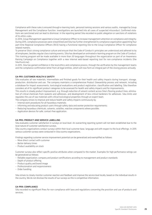Compliance with these rules is ensured through e-learning tools, personal training sessions and various audits, managed by Group Management and the Compliance function. Investigations are launched into all cases of suspected misconduct. Confirmed violations are sanctioned and can lead to dismissal. In the reporting period Sika recorded no public allegation or sanctions of violations of its ethics rules.

In 2014, Group Management appointed a Group Compliance Officer to increase management attention on compliance and integrity. During 2015, compliance processes were streamlined and Sika has further strengthened its compliance organization appointing four part-time Regional Compliance Officers (RCO) having a functional reporting line to the Group Compliance Officer for compliance related matters.

To preserve Sika's strong compliance culture and ensure that the Code of Conduct's principles are understood and adhered to by all employees, besides regular class training events, Sika has developed an animated e-learning program on the Code of Conduct. This training program will be made available in more than 20 languages throughout the organization as part of an Awareness Raising Campaign on Compliance together with a new internal web-based reporting tool for non-compliance incidents (the SikaTrustLine).

In 2015, Sika has gained confidence in the local ethics and compliance process, through the verification by the management teams and the compliance confirmation letter from all legal entities, which will now form an integral part of the closing process annually.

#### G4-PR1: CUSTOMER HEALTH & SAFETY

Sika evaluates all raw materials, intermediate and finished goods for their health and safety impacts during transport, storage, production, distribution and use. The company maintains a comprehensive Product Stewardship process and network, including a database for impact assessments, toxicological evaluations and product registration, classification and labelling. Sika therefore considers all of its significant product categories to be assessed for health and safety impacts and for improvements.

This results in steady product improvement, e.g. through reduction of solvent content across Sika's flooring product lines, elimination of critical chemicals from sealants and adhesives, and development of less critical hardeners for adhesives. Sika limits and regulates the use of raw materials with critical toxicological properties through an expert team.

The company strives to improve and reduce health and safety impacts continuously by:

- Internal work procedures for all hazardous materials;
- Informing and educating product users through safety data and worker protection requirements;
- Reducing hazardous chemicals, solvents, volatiles, reactive components where possible;
- Application devices for safe, contact-free application.

#### G4-PR5: PRODUCT AND SERVICE LABELLING

Sika evaluates customer satisfaction in surveys on local level. An overarching reporting system will not been established due to the local nature of customer satisfaction surveys.

Sika country organizations conduct surveys within their local customer base, language and with respect to the local offerings. In 2015 various customer surveys were conducted in Sika country organizations.

Findings regarding customer service improvement potential can be generalized and exemplified as follows:

- More direct contact with customer
- Better delivery times
- Product availability on stock

Customer surveys also reflect specific positive attributes when compared to the market. Examples for high performance ratings can be generalized as follows:

- Reliable organization; company and product certifications according to management and product standards
- Depth of product offering
- Product quality and brand image
- Professionalism and responsiveness
- Order handling

Sika strives to closely monitor customer reaction and feedback and improve the service level locally, based on the individual results in the country. We do not disclose the results of our surveys as this is competitive information.

#### G4-PR9: COMPLIANCE

Sika recorded no significant fines for non-compliance with laws and regulations concerning the provision and use of products and services.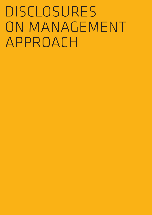# DISCLOSURES ON MANAGEMENT Approach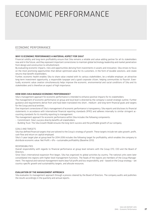### ECONOMIC PERFORMANCE Economic Performance

#### Economic Performance

#### WHY IS ECONOMIC PERFORMANCE A MATERIAL ASPECT FOR SIKA?

Financial solidity and long-term profitability ensure that Sika remains a reliable and value-adding partner for all its stakeholders now and in the future, and they represent important cornerstones to maintain global technology leadership and market penetration from design and construction to refurbishment.

By evaluating economic impacts, risks and opportunities deriving from investments in assets and innovation, Sika strives to focus on the most promising opportunities that deliver optimized value for its customers, in the form of durable solutions, and create returns that benefit shareholders.

Further, economic health enables Sika to share value created with its various stakeholders, be a reliable employer, an attractive long-term investment opportunity, a responsible taxpayer and a good corporate citizen, helping communities to flourish. Eventually, economic value creation simultaneously helps improve the economic, environmental and social conditions of Sika and its stakeholders and is therefore an aspect of high importance.

#### HOW DOES SIKA MANAGE ECONOMIC PERFORMANCE?

Sika's management approach for economic performance is intended to enhance positive impacts for its stakeholders.

The management of economic performance on group and local level is directed by the company's overall strategic outline. Further guidance and requirements derive from and have been translated into short-, medium- and long-term financial goals and targets for the Group and local entities.

One important cornerstone of Sika's management of economic performance is transparency. Sika reports and discloses its financial statements in accordance with international financial reporting standards (IFRS) and adheres internally to similar stringent accounting standards for its monthly reporting to management.

The management approach for economic performance within Sika includes the following components:

- Commitment: Sika's success directly benefits all stakeholders.
- Building Trust: The Sika Growth Model ensures the long-term success and the profitable growth of our company.

#### GOALS AND TARGETS

Sika has defined financial targets that are tailored to the Group's strategy of growth. These targets include net sales growth, profit, cash flow and return on capital employed.

Sika's 5-year target plan at group level for 2014-2018 includes the following target for profitability, which enables the company to distribute economic value: Net Profit > 6% = sustainable profitability (Baseline 2013).

#### RESPONSIBILITIES

Overall responsibility with regards to financial performance at group level remains with the Group CFO, CEO and the Board of Directors.

Since Sika's international expansion first began, Sika has organized its global activities by country. The national units were later consolidated into regions with higher-level management functions. The heads of the regions are members of the Group Management. The regional and national management teams bear full profit and loss responsibility, and – based on the Group strategy – set country-specific growth and sustainability targets, and allocate resources.

#### EVALUATION OF THE MANAGEMENT APPROACH

Sika evaluates its management approach through a process steered by the Board of Directors. The company audits and publishes the results accordingly in the quarterly and annual reports.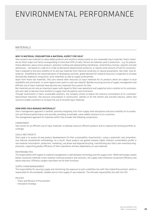### ENVIRONMENTAL PERI ENVIRONMENTAL PERFORM

#### **MATERIALS**

#### WHY IS MATERIAL CONSUMPTION A MATERIAL ASPECT FOR SIKA?

Sika converts raw materials to value added products and solutions relying mainly on non-renewable input materials. Direct materials are Sika's major cost factor corresponding to more than 40% of sales. Almost all materials used in production – e.g. for polyurethane adhesives, epoxy resins products, polymeric roofing and waterproofing membranes, cementitious mortars, polymer concrete admixtures – are based on crude oil or crude oil derivatives (downstream products), or require some amount of fuel for conversion. Sika is exposed to the price volatility of oil and raw materials from chemical conversion or natural provenience, like chalk, titan dioxide etc. Amplified by the industrialization of developing countries, global demand for material resources is expected to increase dramatically, leading to rising prices, price volatilities as well as supply uncertainties.

Apart from those raw materials, Sika uses several other resources as input materials for its products which are subject to local availability and constraints. In some regions even sand is a rare raw material. Besides ensuring security of supply, management and efficient use of input materials have become very important focus points for Sika.

But materials are not only an important aspect with regard to Sika's own operations and supply but also in relation to its customers, who also seek to become more resilient to supply chain disruptions and constraints.

Through investments in Sika's sustainable solutions, the company strives to reduce the resource consumption of its customers' downstream industries, like resource consumption in construction, vehicles or for the cement and concrete industry, where Sika solutions enable customers to increase the use of recycled input materials.

#### HOW DOES SIKA MANAGE MATERIALS?

Sika's management approach is twofold, primarily mitigating risks from supply chain disruptions and price volatility on its production and financial performance and secondly, providing sustainable, value-added solutions to its customers. The management approach for materials within Sika includes the following components:

#### **COMMITMENT**

Sika strives for an efficient use of input materials, to develop resource-efficient products and to improve the existing portfolio accordingly.

#### Goals and targets

Sika's goal is to assess all new product developments for their sustainability characteristics, using a systematic and comprehensive internal standardized methodology. As a result, these projects are geared towards higher inherent sustainability profile in raw material consumption, production, marketing, use phase and disposal/recycling, transforming also Sika's own manufacturingprocesses, supporting greater efficiency of Sika's operations and less dependency on raw materials.

#### Responsibilities

The responsibility with regard to material management is split between technology and the supply chain. While technology creates better conversion methods or less material-intensive products and solutions, the supply chain influences conversion efficiency and waste reduction. Efficiency targets have been set for both functions.

#### Supply Chain Management

The responsibility for securing supply and minimizing the exposure to price volatilities lies with Sika Global Procurement, which is responsible for the worldwide, reliable and on-time supply of raw materials. The ultimate responsibility lies with the CEO.

#### Policies

- Vision and Mission of Procurement
- Innovation Strategy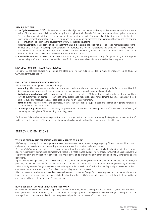#### SPECIFIC ACTIONS

- Life Cycle Assessment (LCA): Sika sets out to undertake objective, transparent and comparative assessments of the sustainability of its products – not only in manufacturing, but throughout their life cycle, following internationally recognized standards. These analyses may pinpoint necessary improvements for existing products. They may also deliver important insights into resource management (raw materials, energy, water and waste), production processes or application efficiency and thereby promote innovation and optimize the development of new products and systems.
- Risk Management: The objective of risk management at Sika is to secure the supply of materials in all market situations in the required consistent quality at competitive conditions. A structured and systematic recording and rating process for relevant risks is implemented in order to enable early identification of critical materials and/or suppliers by the systematic analysis and implementation of measures based on a clear classification of potential risks.
- Sustainable Solutions: Sika seeks to enhance the outstanding and widely appreciated utility of its products by optimizing their sustainability profile, and thus to create added value for its customers and contribute to sustainable development.

#### Sika solutions for resource efficiency

Extensive project case studies from around the globe detailing how Sika succeeded in material efficiency can be found at www.sika.com/sustainability

#### EVALUATION OF MANAGEMENT APPROACH

Sika evaluates its management approach through:

- Monitoring: Sika measures its material use on a regular basis. Material use is reported quarterly to the Environment, Health & Safety department where results are followed up and management approaches adapted accordingly.
- **Evaluation of results from LCA:** Sika carries out life-cycle assessments (LCA) during the product development process. These serve to quantify energy demand, resource efficiency, greenhouse gas emissions or water demand during each phase of a product's life cycle and measure the associated possible impacts on the environment.
- Benchmarking: The procurement and technology organization screens Sika's supplier base and the market in general for alternative or more efficient raw materials.
- Technology comparison: Based on the life cycle approach for raw materials, Sika compares the effectiveness and efficiency of competing technologies to Sika's existing technology base.

Furthermore, Sika evaluates its management approach by target setting, achieving or missing the targets and measuring the effectiveness of the approach. The management approach has been reviewed and has been proven to be effective.

#### Energy and emissions

#### WHY ARE ENERGY AND EMISSIONS MATERIAL ASPECTS FOR SIKA?

Sika's energy consumption is to a large extent based on non-renewable sources of energy, exposing Sika to price volatilities, supply and production uncertainties and increasing regulatory interventions related to climate change.

Although Sika's production itself is less energy-intensive than the supplier industry, specifically the chemical industry, Sika sees it as its responsibility to minimize its impact with regard to climate change by reducing its energy consumption. Sika believes that energy efficiency and mitigation of emissions is a major driver of its overall efficiency effort and additionally contributes to cost reductions.

Apart from its own operations Sika also contributes to the reduction of energy consumption through its products and systems, by providing sustainable solutions for the construction and transportation industries, i.e. to improve the energy efficiency of buildings and to build lighter cars. Energy is a relevant factor throughout the value chains of both industries. Especially in the cement industry energy consumption and secondary fuels play a large role in production processes.

Sika products can contribute considerably to savings in cement production. Energy for conversion processes is also a very important input parameter as a supplier of raw materials in the chemical industry. Sika's sustainable solutions contribute to the reduction of energy use in these sectors. (See part "Specific Actions")

#### HOW DOES SIKA MANAGE ENERGY AND EMISSIONS?

On the one hand, Sika's management approach is aiming at reducing energy consumption and resulting CO<sub>2</sub> emissions from Sika's own operations. On the other hand, Sika is constantly improving its products and systems to reduce energy consumption and resulting  $CO<sub>2</sub>$  emissions in the application and use phase and production processes of its customers.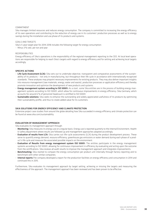#### COMMITMENT

Sika manages limited resources and reduces energy consumption. The company is committed to increasing the energy efficiency of its own operations and contributing to the reduction of energy use in its customers' production processes as well as to energy savings during the installation and use phase of its products and systems.

#### Goals and targets

Sika's 5-year target plan for 2014-2018 includes the following target for energy consumption:

– Minus 3% rate, per ton and year

#### **RESPONSIBILITIES**

Energy efficiency of Sika's operations is the responsibility of the regional management reporting to the CEO. At local level operations are responsible for helping to reach Sika's targets with regard to energy efficiency and for setting and achieving local targets accordingly.

#### SPECIFIC ACTIONS

- Life Cycle Assessment (LCA): Sika sets out to undertake objective, transparent and comparative assessments of the sustainability of its products – not only in manufacturing, but throughout their life cycle in accordance with internationally recognized standards. These analyses may pinpoint necessary improvements for existing products. They may also deliver important insights into resource management (raw materials, energy, water and waste), production processes or application efficiency and thereby promote innovation and optimize the development of new products and systems.
- **Energy management system according to ISO 50001:** As a start, some Sika entities are in the process of building energy management systems according to ISO 50001, which allow for continuous improvements in energy efficiency. Sika Germany, which accounts for around 6 % of personnel headcount is certified to ISO 50001.
- Sustainable solutions: Sika seeks to enhance the outstanding and widely appreciated usefulness of its products by optimizing their sustainability profile, and thus to create added value for its customers.

#### Sika solutions for energy efficiency and climate protection

Extensive project case studies from around the globe detailing how Sika succeeded in energy efficiency and climate protection can be found at www.sika.com/sustainability

#### EVALUATION OF MANAGEMENT APPROACH

Sika evaluates its management approach through:

- Monitoring: Sika measures its energy use on a regular basis. Energy use is reported quarterly to the internal Environment, Health & Safety department where results are followed up and management approaches adapted accordingly.
- Evaluation of results from LCA: Sika carries out life-cycle assessments (LCA) during the product development process. These serve to quantify energy demand, resource efficiency, greenhouse gas emissions or water demand during each phase of a product's life cycle and measure the associated possible impacts on the environment.
- **Evaluation of Results from energy management system ISO 50001:** The entities participate in the energy management systems according to ISO 50001, allowing for continuous improvement in efficiency by evaluating and acting upon the outcome from the certifications. Sika reviews all audit results to improve the management approach and integrates improvements.
- Benchmarking: Sika started to compare the energy consumption per product unit internally through factory reporting and to benchmark with other similar companies.
- Internal reports: The company developed a report for the production facilities on energy efficiency and consumption in 2014 and continued this in 2015.

Furthermore, Sika evaluates its management approach by target setting, achieving or missing the targets and measuring the effectiveness of the approach. The management approach has been reviewed and has been proven to be effective.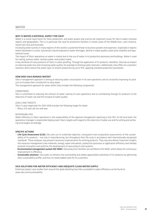#### WHY IS WATER A MATERIAL ASPECT FOR SIKA?

Water is a crucial input factor for Sika's production, and water quality and scarcity are important issues for Sika in water-stressed regions and geographies. This is in particular the case for production facilities in certain areas of the Middle East, Latin America, South East Asia and Australia.

Increasing water scarcity in many regions of this world is a potential threat to business growth and expansion. Especially in regions where freshwater is scarce, businesses may be exposed to water shortages, decline in water quality, water price volatility and reputational issues.

The impact of Sika's operations on water is mainly due to the use of water in its production processes and buildings. Water is used for cooling, process water, sanitary water, and product water.

A key attribute of many products of Sika's is water proofing. Through the application of its products, therefore, Sika has an impact on reducing water loss and increasing water quality, for example in drinking water reservoirs. Additionally, Sika offers its customers solutions which reduce the water input in cement production by up to 15%, applying standard production procedures.

#### HOW DOES SIKA MANAGE WATER?

Sika's management approach is aiming at reducing water consumption in its own operations and at constantly improving its products to increase their contribution to save water.

The management approach for water within Sika includes the following components:

#### COMMITMENT

Sika is committed to reducing the amount of water used by its own operations and to contributing through its products to the reduction of water use and the increase of water quality.

#### Goals and targets

Sika's 5-year target plan for 2014-2018 includes the following target for water:

– Minus 3 % rate, per ton and year

#### Responsibilities

Water efficiency in Sika's operations is the responsibility of the regional management reporting to the CEO. At the local level, the operations manager is responsible helping reach Sika's targets with regard to the reduction of water use and for setting and achieving local targets accordingly.

#### SPECIFIC ACTIONS

- Life Cycle Assessment (LCA): Sika sets out to undertake objective, transparent and comparative assessments of the sustainability of its products – not only in manufacturing, but throughout their life cycle in accordance with internationally recognized standards. These analyses may pinpoint necessary improvements for existing products. They may also deliver important insights into resource management (raw materials, energy, water and waste), production processes or application efficiency and thereby promote innovation and optimize the development of new products and systems.
- Environmental management system ISO 14001: Sika production facilities are certified to ISO 14001, which allows for continuous improvement in efficiency.
- Sustainable solutions: Sika seeks to enhance the outstanding and widely appreciated usefulness of its products by optimizing their sustainability profile, and thus to create added value for its customers.

#### Sika solutions for water efficiency and adequate clean water supply

Extensive project case studies from around the globe detailing how Sika succeeded in water efficiency can be found at www.sika.com/sustainability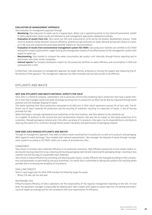#### EVALUATION OF MANAGEMENT APPROACH

Sika evaluates its management approach through

- Monitoring: Sika measures its water use on a regular basis. Water use is reported quarterly to the internal Environment, Health & Safety department where results are followed up and management approaches adapted accordingly.
- Evaluation of results from LCA: Sika carries out life-cycle assessments (LCA) during the product development process. These serve to quantify energy demand, resource efficiency, greenhouse gas emissions or water demand during each phase of a product's life cycle and measure the associated possible impacts on the environment.
- Evaluation of results from environmental management system ISO 14001: Sika production facilities are certified to ISO 14001 and perform impact assessments, target setting and management reviews of the effectiveness of the management system with regard to water use.
- Benchmarking: Sika started to compare the water consumption per product unit internally through factory reporting and to benchmark with other similar companies.
- Internal reports:The company developed a report for the production facilities on water efficiency and consumption in 2014 and continued this in 2015.

Furthermore, Sika evaluates its management approach by target setting, achieving or missing the targets and measuring the effectiveness of the approach. The management approach has been reviewed and has been proven to be effective.

#### Effluents and waste

#### WHY ARE EFFLUENTS AND WASTE MATERIAL ASPECTS FOR SIKA?

Since Sika is a chemical company, stakeholders and in particular communities bordering Sika's production sites have a great interest in how Sika manages waste and water discharge resulting from its production as they may be directly impacted through water pollution and the improper disposal of waste.

The waste resulting from Sika's production amounted to 62,000 tons in 2014, which represents around 2% of tons sold. The efficient use of input materials for production and the recycling of materials, resulting in a reduction of waste, is one of the key priorities for Sika.

Water discharge is strongly regulated by local authorities at the Sika locations, and Sika adheres to the standards set.

As a supplier of products to the construction and transportation industry, Sika also has an impact on the waste production of its customers, through packaging material and in the after-use phase of its products. Sika sees it as its responsibility to contribute to reducing the waste of its customers through better product durability and optimization of packaging material.

#### HOW DOES SIKA MANAGE EFFLUENTS AND WASTE?

Through its management approach, Sika seeks to reduce waste resulting from its production as well as its products and packaging. With regard to water discharge, Sika complies with national requirements. Sika manages the disposal of waste through management systems according to ISO 14001, which are in place at all production sites. .

#### **COMMITMENT**

Sika strives to increase input materials efficiency in its production processes. High efficiency production in this context means reducing and reusing production scrap, reducing and reusing packaging material and improving the packaging design, resulting in less material use and focusing on sustainable input materials.

Sika strives to reduce effluents by controlling and reducing water inputs. Locally, effluents are managed according to their constituents and parameters as permitted by the local authorities. For waste Sika is committed to taking back products for recycling where possible and to increasing the durability of its products.

#### Goals and targets

Sika's 5-year target plan for 2014-2018 includes the following target for waste: – Minus 3% rate, per ton and year

#### Responsibilities

Effluents/waste efficiency of Sika's operations are the responsibility of the regional management reporting to the CEO. At local level, the operations manager is responsible for helping reach Sika's targets with regard to waste reduction, for setting and achieving local targets accordingly and for the compliance with local requirements for effluents.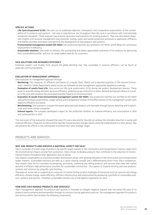#### SPECIFIC ACTIONS

- Life Cycle Assessment (LCA): Sika sets out to undertake objective, transparent and comparative assessments of the sustainability of its products and systems – not only in manufacture, but throughout their life cycle in accordance with internationally recognized standards. These analyses may pinpoint necessary improvements for existing products. They may also deliver important insights into resource management (raw materials, energy, water and waste) production processes or application efficiency and thereby promote innovation and optimize the development of new products and systems.
- Environmental management system ISO 14001: Sika production facilities are certified to ISO 14001, which allows for continuous improvement in efficiency.
- Sustainable solutions: Sika seeks to enhance the outstanding and widely appreciated usefulness of its products by optimizing their sustainability profile, and thus to create added value for its customers.

#### Sika solutions for resource efficiency

Extensive project case studies from around the globe detailing how Sika succeeded in resource efficiency can be found at www.sika.com/sustainability

#### EVALUATION OF MANAGEMENT APPROACH

Sika evaluates its management approach through:

- Monitoring: Sika measures its effluents and waste on a regular basis. Water use is reported quarterly to the internal Environment, Health & Safety department where results are followed up and management approaches adapted accordingly.
- Evaluation of results from LCA: Sika carries out life-cycle assessments (LCA) during the product development process. These serve to quantify energy demand, resource efficiency, greenhouse gas emissions or water demand during each phase of a product's life cycle and measure the associated possible impacts on the environment.
- Evaluation of results from environmental management system ISO 14001: Sika production facilities are certified to ISO 14001 and perform impact assessments, target setting and management reviews of the effectiveness of the management system with regard to effluents and waste.
- Benchmarking: Sika started to compare the waste generation per product unit internally through factory reporting and to benchmark with other similar companies.
- Internal reports: The company developed a report for the production facilities on material efficiency and consumption in 2014 and continued this in 2015.

The conclusion of the evaluation showed that even if it was a key priority Sika did not achieve the intended reduction in waste and material efficiency. Programs to reduce waste typically involve process changes which cannot be implemented in a short period. Sika will enhance the efforts in the coming year to achieve the 5 year strategic target.

#### Products and services

#### WHY ARE PRODUCTS AND SERVICES A MATERIAL ASPECT FOR SIKA?

Sika is a provider of a wide range of products for specific target markets in the construction and transportation industry. Apart from the environmental impacts arising from production, Sika's strives to develop products that contribute to the reduction of environmental impacts throughout their application and use phase.

Sika regards sustainability as a business enabler and business driver, with growing relevance in the construction and transportation target markets. Sustainable solutions are seen as a value-creating concept and a differentiating factor from Sika's competitors. Sika creates value for its customers by designing, promoting, marketing and selling products and services that meet the market demand of efficient high performance solutions for sustainable construction. Sika aspires to improve existing and new products, systems and solutions by using life-cycle thinking.

Sika plays an active role in supporting its customers to tackle the big societal challenges of tomorrow (such as resource and energy efficiency, climate change, water efficiency, efficient infrastructure and urbanization) by pioneering a portfolio of sustainable products, systems and services. Therefore sustainable solutions are of the highest importance for Sika.

#### HOW DOES SIKA MANAGE PRODUCTS AND SERVICES?

Sika's management approach for products and services is intended to mitigate negative impacts over the entire life cycle of its products and to enhance positive benefits through its solutions during application and use. The management approach for products and services within Sika includes the following components: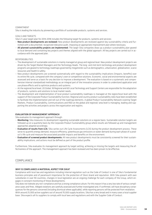#### **COMMITMENT**

Sika is leading the industry by pioneering a portfolio of sustainable products, systems and services.

#### Goals and targets

Sika's 5-year target plan for 2014-2018 includes the following target for products, systems and services:

- New product developments are reviewed: New product developments are reviewed against key sustainability criteria and furnished with a documented, recognized relevance audit, imposing an appropriate improvement plan where necessary.
- All planned sustainability projects are implemented: The larger Sika companies draw up a product sustainability plan geared to local demand and containing key projects and themes aligned with the global approach. All key projects are carried out in accordance with the approved plan.

#### Responsibilities

- The development of sustainable solutions is mainly managed at group and regional level. New product development projects are driven by the Target Market Managers and the Technology Heads. The long- and mid-term technology and product development programs are geared to technology roadmaps governed by megatrends such as demographics, urbanization, globalization, scarce resources and health & safety.
- New product developments are screened systematically with regard to the sustainability implications (impacts, benefits) over its entire life cycle, compared with the company's own or competitive solutions. Economic, social and environmental aspects are assessed and serve as a basis for any decision to improve a development. The evaluation is based on a systematic and comprehensive internal standardized methodology as an integral part of the innovation process in order to understand application and use phase effects and to optimize products and systems.
- At the regional/local level, 20 Global, 18 Regional and 60 Local Technology and Support Centers are responsible for the adaptation of products, systems and solutions to local market needs.
- The development and implementation of local product sustainability roadmaps is managed at the region/local level with the support of the Corporate Product Sustainability function. Regional and country product sustainability roles have been established to facilitate the implementation and roll-out of the roadmap elements. A global Product Sustainability Network covering Target Markets, Product Sustainability, Communications and R&D at the global and regional/ area level is managing, leading and supporting the activities and projects across the organization and regions.

#### EVALUATION OF MANAGEMENT APPROACH

Sika evaluates its management approach through:

- Monitoring: Sika measures its development regarding sustainable solutions on a regular basis. Sustainable solution targets are followed up on a quarterly basis by the Corporate Product Sustainability group where results are followed up and management approaches adapted accordingly.
- Evaluation of results from LCA: Sika carries out Life Cycle Assessments (LCA) during the product development process. These serve to quantify energy demand, resource efficiency, greenhouse gas emissions or water demand during each phase of a product's life cycle and measure the associated possible impacts and benefits on the environment.
- Evaluation of screened product developments: All new product developments must be consistently screened for their sustainability implications, and actions must be defined as part of the product profile.

Furthermore, Sika evaluates its management approach by target setting, achieving or missing the targets and measuring the effectiveness of the approach. The management approach has been reviewed and has been proven to be effective.

#### Compliance

#### WHY IS COMPLIANCE A MATERIAL ASPECT FOR SIKA?

Compliance with local law and regulations including internal regulation such as the Code of Conduct is one of Sika's fundamental business principles and of paramount importance for the protection of Sika's brand and reputation. With Sika present with own subsidiaries in over 90 countries, changes in local legislation are an ongoing challenge for each company of the Group, which engages in constant monitoring of these developments.

Sika does not tolerate any non-compliance and has a strong compliance culture. For this reason it has a very low rate of serious compliance cases and fines. Alleged violations are carefully assessed and further investigated and, if confirmed, will have disciplinary consequences for the persons concerned (including dismissal where applicable), while reporting persons will be protected from retaliation.

With around 25,000 active suppliers out of around 70,000 supply locations, Sika has a very broad and in many cases a local supplier base. Sika expects all its suppliers to comply with local laws and regulations and with the Supplier Code of Conduct.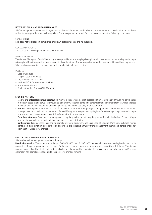#### HOW DOES SIKA MANAGE COMPLIANCE?

Sika's management approach with regard to compliance is intended to minimize to the possible extend the risk of non-compliance within its own operations and by its suppliers. The management approach for compliance includes the following components:

#### COMMITMENT

Sika does not tolerate non-compliance of its own local companies and its suppliers.

#### COALS AND TARCETS

Sika strives for full compliance of all its subsidiaries.

#### RESPONSIBILITIES

The General Managers of each Sika entity are responsible for ensuring legal compliance in their area of responsibility, while corporate/regional functions provide the necessary tools and methods.The same applies for product responsibility and labelling, as every Sika country organization is responsible for the products it sells in its territory.

#### POLICIES

- Code of Conduct
- Supplier Code of Conduct
- Legal and Insurance Manual
- localized Gift & Entertainment Policies
- Procurement Manual
- Product Creation Process (PCP Manual)

#### SPECIFIC ACTIONS

- Monitoring of local legislative update: Sika monitors the development of local legislation continuously through its participation in industry associations as well as through collaboration with consultants. The corporate management system as well as the local management systems require regular law updates to ensure the actuality of all documents.
- Audits: The compliance with Sika's Code of Conduct is monitored through regular Group audits (around 100 audits of various types per year) and the local companies and General Managers are supervised by Regional/Area Managers, legal counsels, corporate internal audit, environment, health & safety audits, local audits etc.
- Compliance training: Personnel in all companies is regularly trained about the principles set forth in the Code of Conduct. Corporate functions regularly conduct trainings and audits on specific topics.
- Confirmation letters: Letters confirming compliance with legislation, and Sika Code of Conduct Principles, including human rights, non-discrimination, anti-corruption and others are collected annually from management teams and general managers from each of Sika's legal entities.

#### EVALUATION OF MANAGEMENT APPROACH

Sika evaluates its management approach through:

Results from audits: The systems according to ISO 9001, 14001 and OHSAS 18001 require a follow up on new legislation and implementation of legal requirements accordingly. For business conduct, legal and internal audit screen the subsidiaries. The General Managers are obliged to strictly adhere to applicable legislation and to supervise the subsidiary accordingly, and report/escalate significant non-compliance incidents to the next level of management.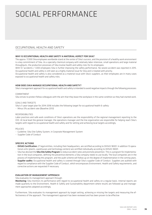### $\overline{C}$ SOCIAL PERFORM

#### OCCUPATIONAL HEALTH AND SAFETY

#### WHY IS OCCUPATIONAL HEALTH AND SAFETY A MATERIAL ASPECT FOR SIKA?

The approx. 17,000 Sika employees worldwide stand at the center of Sika's success, and the provision of a healthy work environment is a key commitment of Sika. As a specialty chemical company with relatively labor-intensive, small operations and large material throughputs, the production processes of Sika involve health and safety risks for its employees.

With 9,7 accidents / 1,000 employees Sika is further improving the safety performance. No severe accident was reported in 2015. Occupational health and safety is still seen as a highly material issue for Sika and is treated with priority.

Occupational health and safety is also considered as a material issue with Sika's suppliers, as their employees are in many cases exposed to occupational health and safety risks.

#### HOW DOES SIKA MANAGE OCCUPATIONAL HEALTH AND SAFETY?

Sika's management approach for occupational health and safety is intended to avoid negative impacts through the following processes:

#### COMMITMENT

Sika strives to protect fellow colleagues with the aim that they leave the workplace in the same condition as they had started work.

GOALS AND TARGETS

Sika's 5-year target plan for 2014-2018 includes the following target for occupational health & safety:

– Minus 5% accident rate (Baseline 2013)

#### RESPONSIBILITIES

Labor practices and safe work conditions of Sika's operations are the responsibility of the regional management reporting to the CEO. At local level the general manager, the operations manager and the line organization are responsible for helping reach Sika's targets with regard to occupational health and safety and for setting and achieving local targets accordingly.

#### POLICIES

- Guideline: Sika Site Safety System, in Corporate Management System
- Supplier Code of Conduct

#### SPECIFIC ACTIONS

- OHSAS Certification: 27 legal entities, including their headquarters, are certified according to OHSAS 18001. In addition 13 operational units (plants, warehouses and technology centers) are certified individually according to OHSAS 18001.
- Sika has devised the Sika Site Safety Program to reduce accident rates and promote prevention. This is a program for implementation in the local companies, defining the preventive elements a Sika company needs to use locally. The local companies are in the process of implementing this program, and the audit scheme will follow up on the degree of implementation in the coming years.
- Supplier audits: Occupational health and safety is covered through Sika's supplier Code of Conduct. Suppliers are audited with regard to compliance with the Supplier Code of Conduct, which encompasses Environment, Health and Safety requirements, and corrective actions are requested if necessary.

#### EVALUATION OF MANAGEMENT APPROACH

Sika evaluates its management approach through:

Monitoring: Sika monitors its performance with regard to occupational health and safety on a regular basis. Internal reports are made quarterly to the Environment, Health & Safety and Sustainability department where results are followed up and management approaches adapted accordingly.

Furthermore, Sika evaluates its management approach by target setting, achieving or missing the targets and measuring the effectiveness of the approach. The management approach has been reviewed and has been proven to be effective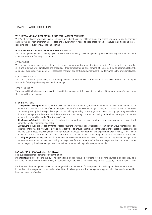#### Training and education

#### WHY IS TRAINING AND FOUCATION A MATERIAL ASPECT FOR SIKA?

With 17,281 employees worldwide, Sika sees training and education as crucial for retaining and grooming its workforce. The company has a large proportion of longtime associates and is aware that it needs to keep these valued colleagues in particular up to date regarding their relevant knowledge and abilities.

#### HOW DOES SIKA MANAGE TRAINING AND EDUCATION?

Sika's management ensures that employees receive adequate training. The management approach for training and education within Sika includes the following components:

#### COMMITMENT

With a cooperative management style and diverse development and continued training activities, Sika promotes the individual skills and initiative of its employees and encourages their entrepreneurial engagement, at the same time as accommodating the company's dynamic development. Sika recognizes, monitors and continuously improves the performance ability of its employees.

#### GOALS AND TARGETS

Sika has no explicit target with regard to training and education but strives to offer every Sika employee 10 hours of training per year, and a fully-fledged training seminar for managers.

#### RESPONSIBILITIES

The responsibility for training and education lies with line management, following the principles of Corporate Human Resources and the Human Resource manuals.

#### SPECIFIC ACTIONS

- Management Development: Sika's performance and talent management system has been the mainstay of management development activities for a number of years. Designed to identify and develop managers' skills, it facilitates systematic employee succession planning in the respective organizations, while promoting company growth by continually pinpointing new talent. Potential managers are developed at different levels, either through continuous training initiated by the respective national organization or provided by the Sika Business School.
- Sika Business School: The Sika Business School provides global, hands-on courses in the areas of management and talent development as well as marketing and sales.
- Curriculums include project assignments reflecting current everyday business situations. Members of Group Management and other line managers are involved in development activities to ensure that training remains relevant to practical needs. Product and application-based knowledge is delivered by academies whose course content and organization are defined by target market managers. With the focus on practical applications for Sika products, these training programs promote customer advisory skills.
- Training Programs: Training activities for each Sika employee are determined based on the evaluation by the line manager. Each employee should attend at least one training course per year (internal or external). All non-management functions are evaluated and managed by their line managers and Human Resources for training and development needs.

#### EVALUATION OF MANAGEMENT APPROACH

Sika evaluates its management approach through:

Monitoring: Sika measures the quality of its training on a regular basis. Sika strives to record training hours on a regular basis. Training hours are reported quarterly internally to headquarters, where results are followed up on and necessary actions are being taken.

Furthermore, the management evaluates on an yearly basis the needs of its employees for training and development especially in the fields of management, sales, technical and functional competence. The management approach has been reviewed and has been proven to be effective.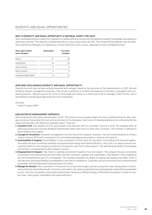#### Why is diversity and equal opportunity a material aspect for Sika?

Sika's worldwide presence makes the integration of widely differing cultures and the global exchange of knowledge and experience absolutely essential. This diversity is desired and seen as a key success factor for Sika. The company firmly believes that the diversity exrienced by employees on a daily basis is one of the factors of its success, especially at senior management level.

| Work region of Sika's<br>senior managers | <b>Nationalities</b> | % of senior<br>managers |
|------------------------------------------|----------------------|-------------------------|
| EMEA                                     | 27                   | 40                      |
| Asia/Pacific                             | 16                   | 2Π                      |
| Latin America                            | q                    |                         |
| North America                            | ς                    |                         |
| Corporate Organization                   | 8                    | 77                      |

#### How does Sika manage diversity and equal opportunity?

Diversity has until now not been actively measured and managed. Based on the outcomes of the measurements in 2015, Sika will introduce relevant management processes. Sika strives in particular to increase the proportion of women in managerial and commercial positions. Women account for 22.3% of total headcount (same as in 2014) and 16.6% of managers (2014: 16.4%). Sika is committed to provide equal opportunity for all our employees.

POLICIES

– Code of Conduct (PDF)

#### EVALUATION OF MANAGEMENT APPROACH

Sika introduced its five values and principles in 2014. The success of any company hinges not only on implementing the right strategy, but also on harnessing the trust and commitment of its employees. Sika's rise to its leading global position is driven by the five values and principles that define its corporate culture. These are::

- 1. Customer First: Sika designs all of its new products and solutions with its customers, success in mind. The company looks to build long-lasting and mutually beneficial relationships rather than focus on short-term successes. This mindset is reflected in Sika's Building Trust tagline.
- 2. Courage for Innovation: Innovation management is at the core of the company's business. Sika has institutionalized its Product Creation Process (PCP) with a strong focus on consistently developing new products, systems and solutions.
- 3. Sustainability & Integrity: Sustainability is a key component of Sika's drive for innovation. For buildings and industrial applications alike Sika aims to enhance durability and improve both energy and material efficiency. Sika's aim is to reduce resource consumption within its own company as well as for its partners, who trust in Sika products. The well-being and health of employees and partners is a prerequisite to the company's success.
- 4. Empowerment & Respect: Sika fosters a working environment based on trust and respect. The company focuses consistently on working in close partnership with each other and with customers, suppliers and stakeholders. Sika believes in the competence and the entrepreneurial spirit of its employees. The company empowers its people to develop and propose new ideas, which is why decisions and responsibilities are delegated to the level of competence. Corporate units are structured to be as decentralized as possible, with flat hierarchies and broad spans of control.
- 5. Manage for Results: Sika is persistent in the pursuit of its vision and targets and has a long-term view, taking pride in continuously achieving outstanding results. Functions and projects are clearly assigned because giving people responsibility guarantees success. Sika has transparent remuneration benchmarks following a defined strategy. Performance evaluation is based on market share, sales growth, profitability and capital efficiency.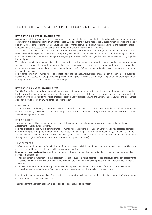#### HOW DOES SIKA SUPPORT HUMAN RIGHTS?

As a signatory of the UN Global Compact, Sika supports and respects the protection of internationally proclaimed human rights and ensures that it is not complicit in human rights abuses. With operations in over 90 countries, Sika is active in many regions ranking high on Human Rights Risks Indices, e.g. Egypt, Venezuela, Afghanistan, Iran, Pakistan, Mexico, and others and sees it therefore as its responsibility to assess its own operations with regard to potential human rights violations.

Sika's Code of Conduct ensures that it has a zero-tolerance policy with regard to human rights violations, and Sika has for this reason deemed the aspect as material. For the reporting year, Sika has had no indication or reports about human rights violations within its own entities. The General Managers are regularly instructed, briefed and signed on Sika's zero-tolerance policy regarding human rights.

With a broad supplier base in many high-risk countries with regard to human rights violations as well as the sourcing from industries where in particular labor rights are potentially at risk, Sika considers the protection of human rights across its supplier base as an important issue that needs to be monitored and managed. Sika's Supplier Code of Conduct focuses in particular on human rights and labor laws.

Sika regards protection of human rights as foundations of the business wherever it operates. Through mechanisms like audits and inspections Sika assures that Group companies protect human rights. However, the company will implement a more comprehensive management approach in 2014 with regard to both topics.

#### HOW DOES SIKA MANGE HUMAN RIGHTS?

The Sika Group does currently not comprehensively assess its own operations with regard to potential human rights violations, but has given the General Managers, who are the company's legal representatives, the obligation to supervise and monitor the protection of human rights for their area of responsibility. In yearly discussions with the Corporate Legal Counsel, the local General Managers have to report on any incidents and actions taken.

#### **COMMITMENT**

Sika is committed to aligning its operations and strategies with the universally accepted principles in the area of human rights and labor established by the United Nations Global Compact Initiative. In 2014, Sika will integrate human rights reviews into its Quality and Risk Management process.

#### RESPONSIBILITIES

The regional and local line management is responsible for compliance with human rights principles and local regulations. Assessment of Sika's own operations:

Sika has prepared a policy with a zero tolerance for human rights violations in its Code of Conduct. Sika has assessed compliance with human rights through its internal auditing activities, and also integrate it in the audit agenda of Quality and Risk Audits to achieve a broader coverage. The General Managers have given account of the local human rights situation and their observations in this regard through a confirmation letter in 2015. (See also chapter compliance).

#### Sika's suppliers

Sika's management approach to Supplier Human Rights Assessments is intended to avoid negative impacts caused by Sika's suppliers with regard to human rights and will be implemented in 2015.

**Screening of new suppliers:** Based on the requirements set out in the Supplier Code of Conduct. Sika requires its new suppliers to answer self-assessments.

- The procurement organization of a "risk geography" identifies suppliers with a hazard based on the results of the self-assessments.
- Suppliers that show a high risk of human rights violations are screened using desktop research and supplier audits through Sika personnel.
- Compliance with the set of human rights included in the Supplier Code of Conduct will be part of the contracts requirements.
- In case human rights violations are found, termination of the relationship with supplier is the only option.

In addition to covering new suppliers, Sika also intends to monitor local suppliers specifically in "risk geographies", where human rights violations are known or suspected.

The management approach has been reviewed and has been proven to be effective.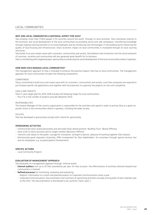#### LOCAL COMMUNITIES

#### WHY ARE LOCAL COMMUNITIES A MATERIAL ASPECT FOR SIKA?

Sika employs more than 17,000 people in 93 countries around the world. Through its local activities, Sika contributes directly to the economic and social development of the local communities by providing secure and safe workplaces, transferring knowledge through ongoing training activities to its local employees and by introducing new technologies in the building sector improving the quality of local housing and infrastructure. Sika's economic impact on local communities is multiplied through its local sourcing structures.

Sika builds trust and creates value with customers, communities and society. Sika believes that immersion into the social networks of countries, societies and communities will also generate great benefit for its business.

Sika is contributing with targeted project sponsorship to enhancing the social development of the local communities where it operates.

#### HOW DOES SIKA MANAGE LOCAL COMMUNITIES?

The management approach of Sika is intended to enhance the positive impacts Sika has on local communities. The management approach for local communities includes the following components:

#### COMMITMENT

Sika is committed to build trust and create value with its customers, communities and society. Local Sika companies are required to put forward specific aid applications and together with local partners to supervise the projects on site until completion.

#### GOALS AND TARGETS

Sika's 5-year target plan for 2014-2018 includes the following target for local communities:

– Plus 5% in the number of projects annually (Baseline 2013)

#### RESPONSIBILITIES

The General Manager of the country organization is responsible for the activities and spend in order to portray Sika as a good corporate citizen in the communities where it operates, including the wider society.

#### POLICIES

Sika has developed a sponsorship concept with criteria for sponsorship.

#### Sponsoring activities

- Communicate Sika's brand personality and articulate Sika's Brand promise "Building Trust" (Brand Affinity);
- Have a link to Sika's business and its target markets (Business Affinity);
- Transmit core values to the public: courage for innovation, strength to persist, pleasure of working together (Sika Values);
- Demonstrate good corporate citizenship; Offer involvement for Sika stakeholders, for customers through special services, but also for employees, e.g. via participation (Involvement).

#### SPECIFIC ACTIONS

– Local Community Projects

#### EVALUATION OF MANAGEMENT APPROACH

Sika evaluates its management approach through: Internal audits:

- Internal auditors visit up to 20 Sika subsidiaries per year. On that occasion, the effectiveness of activities directed toward local communities is checked.
- Defined processes for monitoring, reviewing and evaluating:
	- Regions: Information on current and planned projects to Corporate Communications twice a year.
	- Corporate Communications: Documentation and summary of sponsoring activities annually (2nd quarter of each calendar year to the CEO). This documentation is distributed to all countries ("best cases").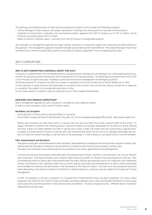The planning and implementation of social sponsoring/donation projects must consider the following procedure:

- General Managers: Project request with project description, including costs and duration to Corporate Communications.
- Corporate Communications: Evaluates and recommends projects; approval from CEO for projects up to CHF 1.0 million, by the Chairman for projects above CHF 1.0 million.
- Board of Directors: Receives report / summary from the CEO (status of all approved projects).

Sika evaluates its management approach by target setting, achieving or missing the targets and monitoring the effectiveness of the approach. The management approach has been reviewed and has been proven to be effective. The General Manager of each Sika subsidiary has to inform annually about quantity and quality of projects supported in the corresponding fiscal year.

#### ANTI-CORRUPTION

#### WHY IS ANTI CORRUPTION A MATERIAL ASPECT FOR SIKA?

Corruption is a phenomenon with worldwide presence causing economic damage and contributing to an unfavorable business environment by distorting market mechanisms and increasing the cost of doing business. The World Bank estimated that 0.5% of GDP is lost through corruption each year, impeding in particular the economic development of developing countries.

The broad presence of corruption has led to an increase in regulation such as the introduction of the UK Bribery Act in 2013. As Sika operates in many countries with high levels of corruption and is active in the construction industry, known for its exposure to corruption, the subject is of considerable importance to Sika.

For the same reasons corruption is also an important issue in Sika's supplier relationships.

#### HOW DOES SIKA MANAGE CORRUPTION?

Sika's management approach for anti-corruption is intended to avoid negative impacts. In order to avoid corruption, Sika's Code of Conduct states:

#### No Bribery, no Corruption

- Avoid any form of either active or passive bribery or corruption.
- Do not offer or accept any favor of any kind (cash, trip, gifts, etc.) for any improper advantage (offer, permit, order, project award, etc.).

Bribery and corruption can take many forms. It may be cash, but also any other favor (trips, excessive gifts of any kind). It is always intended to influence the receiving person's decision to obtain an improper advantage for the person or entity offering the favor. It does not matter whether you offer or receive such a favor. It does not matter who the counter party is (government, company or private person). Except for ordinary gifts and entertainment which do not aim at an improper advantage (see section 3) it does not matter how big or small the favor or the advantage is. It still is bribery or corruption which is strictly forbidden.

#### Gifts, Entertainment and Donations

- Only give or accept gifts and entertainment which are lawful, reasonable and in compliance with the local Sika company's written rules.
- Sponsoring and charitable contributions are permitted in compliance with the local Sika company's written rules.
- Sika does not contribute to any political party or for a political cause unless approved by Group Management.

In almost all countries and markets reasonable gifts and entertainment (meals, sporting or cultural events, etc.) are an inherent part of business. They become bribery and corruption when they are intended to influence the receiving person's decision. Trips or multiple day events as well as gifts and entertainment for public officials are especially critical. All companies must implement written rules based on the corporate model rules to further specify which gifts and entertainment as well as which sponsoring and charitable contributions are permissible in the framework of this Code of Conduct. The rules must also provide for authority levels depending on the amount involved. Contributions to political parties or a political cause are subject to the approval of Group Management.

In 2015, the adoption in all Sika's companies of a localized Gift & Entertainment Policy has been completed. This policy, which integrates and reinforces the Code of Conduct principles, provides employees with a clear and detailed framework on how to give and accept gifts and entertainment in their daily business and defines - for each company/country - different levels of authority depending on the gift value.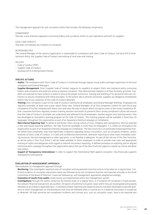The management approach for anti-corruption within Sika includes the following components:

#### COMMITMENT

Sika has a zero-tolerance approach concerning bribery and corruption within its own operations and with its suppliers.

#### GOALS AND TARGETS

Sika does not tolerate any incidents of corruption.

#### RESPONSIBILITIES

The General Manager of the country organization is responsible for compliance with Sika's Code of Conduct, the local Gift & Entertainment Policy, the Supplier Code of Conduct and setting of local rules and training.

#### POLICIES

- Code of Conduct (PDF)
- Supplier Code of Conduct
- localized Gift & Entertainment Policies

#### SPECIFIC ACTIONS

- Audits: The compliance with Sika's Code of Conduct is monitored through regular Group audits and legal supervision of the local companies and General Managers.
- **Supplier Management:** Sika's Supplier Code of Conduct requests its suppliers to respect Sika's zero-tolerance policy concerning bribery and corruption and avoid any active or passive corruption. They demonstrate integrity in all their business activities. Suppliers are required to have systems in place to ensure the proper instruction, training and auditing of its personnel and sub-contractors to ensure compliance with these principles. To the extent Sika is directly concerned, suppliers are obliged to immediately inform Sika of any violations of this code of conduct detected.
- Training: Anti-corruption is part of the Code of Conduct training for all employees and General Manager briefings. Employees are regularly reminded, at least once a year, about these rules. General Managers of all Sika companies confirm for each fiscal year compliance of his/her company with these rules and have the duty to report about corruption cases to the Group Compliance Officer. Corporate functions regularly conduct training sessions and audits.To preserve Sika's strong compliance culture and ensure that the Code of Conduct's principles are understood and adhered to by all employees, besides regular class training events, Sika has developed an animated e-learning program on the Code of Conduct. This training program will be available in more than 20 languages throughout the organization as part of an Awareness Raising Campaign on Compliance.
- New Internal Reporting Tool: To preserve and foster Sika's strong culture of trust, integrity and transparency, Sika has enacted a new web-based reporting platform, the Sika TrustLine (available in more than 20 languages). It is rolled-out throughout the organization as part of an Awareness Raising Campaign on Compliance. The Sika TrustLine is an externally hosted reporting channel where Sika's employees may raise legitimate complaints regarding serious misconduct, such as corruption incidents, and/or breaches of Sika's Code of Conduct, in a safe and confidential environment, whenever reporting to other most immediate existing resources, like line management or other specialists, is not feasible or adequate. As part of the roll-out of the Sika TrustLine, an ad hoc policy ("Sika Trust Policy") will be made available to Sika's employees in order to provide clear rules and appropriate training on rights and obligations with regard to internal misconduct reporting. A defined procedure on reporting and an aligned communication campaign throughout the organization about the use of the Sika TrustLine supports a speak-up culture and deter misconduct.
- Support of Transparency International: In order to support the international fight against corruption, Sika financially supports Transparency International.

#### EVALUATION OF MANAGEMENT APPROACH

Sika evaluates its management approach through:

- Monitoring: Sika investigates reported cases of corruption and any planned corrective actions to be taken on a regular basis. Confirmed incidents of corruption and actions taken are followed up by the Compliance function and reported annually to the Audit Committee of the Board of Directors. Cases are followed up, and management approaches adapted accordingly.
- Evaluation of results from audits: Audit results are implemented within the management system.
- Investigations:Through the audits carried out by Internal Audit on a regular basis, or if suspicion of corruption or fraud prevails, the relevant financial transactions are audited. All reports of potential corruption cases within Sika are investigated and properly followed up according to applicable laws. A standard incident reporting and response process has been developed to provide guidance to Sika's management on the procedures that must be followed when a criminal act or a material misconduct is suspected or detected. All high sensitive non-compliance incidents and criminal acts, such as corruption cases, have to be reported and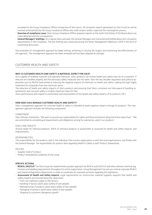escalated to the Group Compliance Officer irrespective of the source. All corruption reports generated via Sika TrustLine will be received automatically by the Group Compliance Officer who shall conduct and/or supervise the investigation process.

- Overview of compliance cases: Sika's Group Compliance Officer prepares reports to the Audit Committee of the Board about any cases detected and the consequences.
- General Managers' briefings: On a regular basis annually, the General Managers are instructed and briefed about anti-corruption requirements in the companies. The last briefing was conducted during the Senior Management Meeting in 2014 in the term of a workshop discussion.

Sika evaluates its management approach by target setting, achieving or missing the targets and monitoring the effectiveness of the approach. The management approach has been reviewed and has been adapted accordingly .

#### Customer Health and Safety

#### WHY IS CUSTOMER HEALTH AND SAFETY A MATERIAL ASPECT FOR SIKA?

As a supplier of building materials and specialty chemicals, Sika's products can involve health and safety risks for its customers, if they are not handled properly and the necessary safety measures are not taken. Over the last decades regulation and political approaches such as REACH have aimed at reducing the negative impacts of chemicals on health and safety, making the topic highly important for companies from the chemicals sector.

The reduction of health and safety impacts of Sika's products and ensuring that Sika's customers are fully aware of handling requirements and can work safely is a highly important topic for Sika.

Sika's performance with regard to assessment and improvement of the health and safety impacts of its products: PR-1

#### HOW DOES SIKA MANAGE CUSTOMER HEALTH AND SAFETY?

Sika's management approach for customer health & safety is intended to avoid negative impacts through its products. The management approach includes the following components:

#### COMMITMENT

Sika's Mission Statement: "We want to assume our responsibility for safety and the environment along the entire value chain." "We are committed to considering all requirements and obligations arising for substances used in our products."

#### GOALS AND TARGETS

Annual target for chemical products: 100% of chemical products in assessment or assessed for health and safety impacts, and improvements.

#### RESPONSIBILITIES

The responsibility for the products sold in the individual Sika country organization is with the local organizations, and finally with the General Manager. The responsibility for product data regarding Health & Safety is with Product Stewardship. .

#### POLICIES

- Supplier Code of Conduct,
- Product Stewardship Guidelines of the Group

#### SPECIFIC ACTIONS

- REACH, GHS/CLP: The Sika Group has implemented a project approach for REACH and GHS/CLP and other relevant chemical registration and labelling requirements throughout its entire organization. Group Management has set up a central corporate REACH and Chemical Regulatory Department in order to coordinate all corporate activities regarding this legislation.
- Assessment of Health and Safety impacts: Legal requirements on construction material suppliers requests that health and safety impacts are ensured along the value chain:
	- From raw materials supply to the factory
	- Handling in factory (work place safety of own people)
	- Manufacturing of products (work place safety of own people)
	- Packaging of products (work place safety of own people)
	- Shipping to customers (dangerous goods)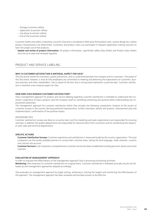- Storage (customer safety)
- Application (customer safety)
- Use phase (customer safety)
- End of life (customer safety)

Customer health and safety is therefore crucial for Sika and is considered in R&D work (formulation work, system design etc.) where product characteristics are determined. Customers and product users can participate in frequent application training sessions to learn the proper use of the products.

– Update and review of product information: All product information, specifically Safety Data Sheets and Product Data Sheets must be up to date and reviewed regularly.

#### PRODUCT AND SERVICE LABELING

#### WHY IS CUSTOMER SATISFACTION A MATERIAL ASPECT FOR SIKA?

The Sika brand stands for innovation, quality and service, and is a solid bond between the company and its customers. The power of the Sika brand, however, is that all Sika employees are committed to meeting and delivering the expectations of customers, business partners and other stakeholders. Sika is aware of the fact that a strong brand represents a promise kept. Customer satisfaction is therefore a key material aspect for Sika.

#### HOW DOES SIKA MANAGE CUSTOMER SATISFACTION?

Sika's management approach for product and service labeling regarding customer satisfaction is intended to understand the customer's experience of Sika's products and the company itself as something enhancing and positive while understanding any improvement potentials.

The management approach for customer satisfaction within Sika includes the following components: Analysis of the results of customer surveys in the country, deriving potential improvements, further interviews, details and analysis, improvement plan and implementation, confirmation of the positive impact.

#### RESPONSIBILITIES

Customer satisfaction surveys are done on a country level, and the marketing and sales organizations are responsible for ensuring overview. In addition the quality departments are responsible for inbound claims from customers and for coordinating the responses with sales and technical departments.

#### SPECIFIC ACTIONS

- Customer Satisfaction Surveys: Customer experience and satisfaction is measured locally by the country organization. The local companies use the locally available partners to survey their customer base, taking the local language, trade channels, customs and cultures into account.
- Customer Services: In all companies a comprehensive customer service has been established including personal, phone and online channels.

#### EVALUATION OF MANAGEMENT APPROACH

In order to evaluate the effectiveness of the management approach Sika is processing monitoring activities:

Monitoring: Sika measures its customer satisfaction on a regular basis. Customer satisfaction is followed up locally, results are followed up and management approaches adapted accordingly.

Sika evaluates its management approach by target setting, achieving or missing the targets and monitoring the effectiveness of the approach. The management approach has been reviewed and has been proven to be effective.